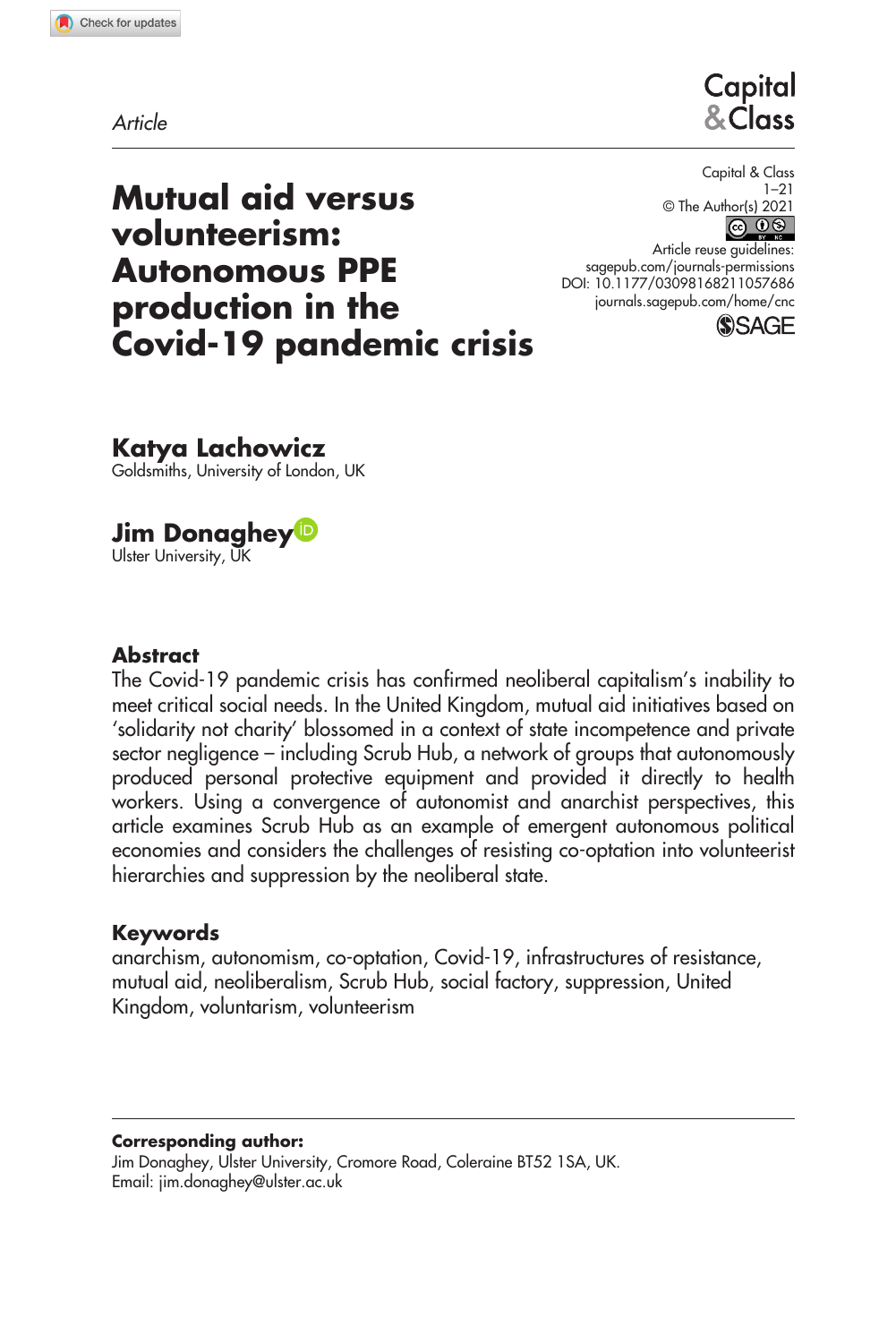# Capital & Class

# **Mutual aid versus volunteerism: Autonomous PPE production in the Covid-19 pandemic crisis**

Capital & Class 1–21 © The Author(s) 2021

https://doi.org/10.1177/03098168211057686 DOI: 10.1177/03098168211057686 Article reuse guidelines: [sagepub.com/journals-permissions](https://uk.sagepub.com/en-gb/journals-permissions) [journals.sagepub.com/home/cnc](https://journals.sagepub.com/home/cnc)



# **Katya Lachowicz**

Goldsmiths, University of London, UK

**Jim Donaghey** Ulster University, UK

## **Abstract**

The Covid-19 pandemic crisis has confirmed neoliberal capitalism's inability to meet critical social needs. In the United Kingdom, mutual aid initiatives based on 'solidarity not charity' blossomed in a context of state incompetence and private sector negligence – including Scrub Hub, a network of groups that autonomously produced personal protective equipment and provided it directly to health workers. Using a convergence of autonomist and anarchist perspectives, this article examines Scrub Hub as an example of emergent autonomous political economies and considers the challenges of resisting co-optation into volunteerist hierarchies and suppression by the neoliberal state.

#### **Keywords**

anarchism, autonomism, co-optation, Covid-19, infrastructures of resistance, mutual aid, neoliberalism, Scrub Hub, social factory, suppression, United Kingdom, voluntarism, volunteerism

#### **Corresponding author:**

Jim Donaghey, Ulster University, Cromore Road, Coleraine BT52 1SA, UK. Email: [jim.donaghey@ulster.ac.uk](mailto:jim.donaghey@ulster.ac.uk)

*Article*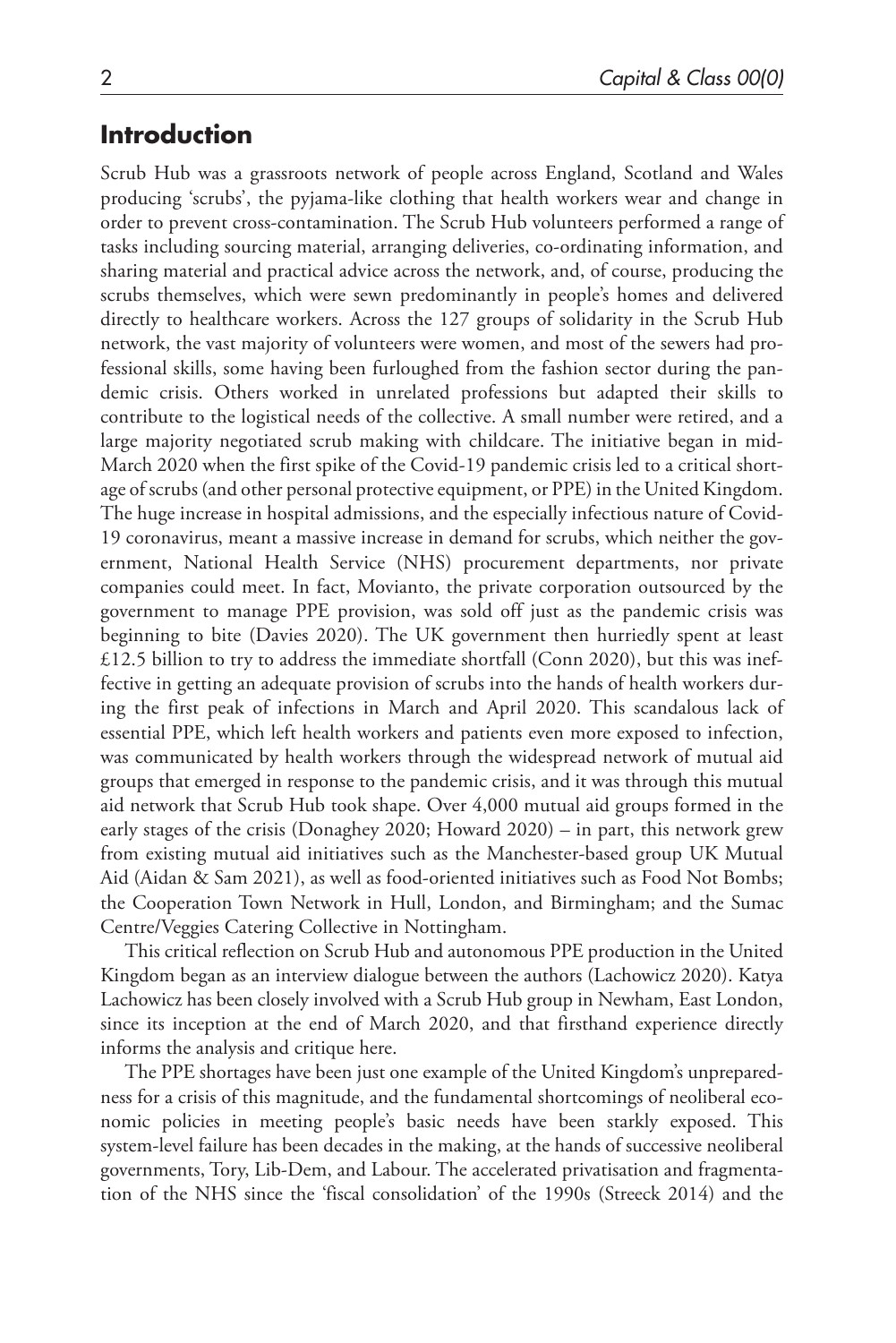# **Introduction**

Scrub Hub was a grassroots network of people across England, Scotland and Wales producing 'scrubs', the pyjama-like clothing that health workers wear and change in order to prevent cross-contamination. The Scrub Hub volunteers performed a range of tasks including sourcing material, arranging deliveries, co-ordinating information, and sharing material and practical advice across the network, and, of course, producing the scrubs themselves, which were sewn predominantly in people's homes and delivered directly to healthcare workers. Across the 127 groups of solidarity in the Scrub Hub network, the vast majority of volunteers were women, and most of the sewers had professional skills, some having been furloughed from the fashion sector during the pandemic crisis. Others worked in unrelated professions but adapted their skills to contribute to the logistical needs of the collective. A small number were retired, and a large majority negotiated scrub making with childcare. The initiative began in mid-March 2020 when the first spike of the Covid-19 pandemic crisis led to a critical shortage of scrubs (and other personal protective equipment, or PPE) in the United Kingdom. The huge increase in hospital admissions, and the especially infectious nature of Covid-19 coronavirus, meant a massive increase in demand for scrubs, which neither the government, National Health Service (NHS) procurement departments, nor private companies could meet. In fact, Movianto, the private corporation outsourced by the government to manage PPE provision, was sold off just as the pandemic crisis was beginning to bite (Davies 2020). The UK government then hurriedly spent at least £12.5 billion to try to address the immediate shortfall (Conn 2020), but this was ineffective in getting an adequate provision of scrubs into the hands of health workers during the first peak of infections in March and April 2020. This scandalous lack of essential PPE, which left health workers and patients even more exposed to infection, was communicated by health workers through the widespread network of mutual aid groups that emerged in response to the pandemic crisis, and it was through this mutual aid network that Scrub Hub took shape. Over 4,000 mutual aid groups formed in the early stages of the crisis (Donaghey 2020; Howard 2020) – in part, this network grew from existing mutual aid initiatives such as the Manchester-based group UK Mutual Aid (Aidan & Sam 2021), as well as food-oriented initiatives such as Food Not Bombs; the Cooperation Town Network in Hull, London, and Birmingham; and the Sumac Centre/Veggies Catering Collective in Nottingham.

This critical reflection on Scrub Hub and autonomous PPE production in the United Kingdom began as an interview dialogue between the authors (Lachowicz 2020). Katya Lachowicz has been closely involved with a Scrub Hub group in Newham, East London, since its inception at the end of March 2020, and that firsthand experience directly informs the analysis and critique here.

The PPE shortages have been just one example of the United Kingdom's unpreparedness for a crisis of this magnitude, and the fundamental shortcomings of neoliberal economic policies in meeting people's basic needs have been starkly exposed. This system-level failure has been decades in the making, at the hands of successive neoliberal governments, Tory, Lib-Dem, and Labour. The accelerated privatisation and fragmentation of the NHS since the 'fiscal consolidation' of the 1990s (Streeck 2014) and the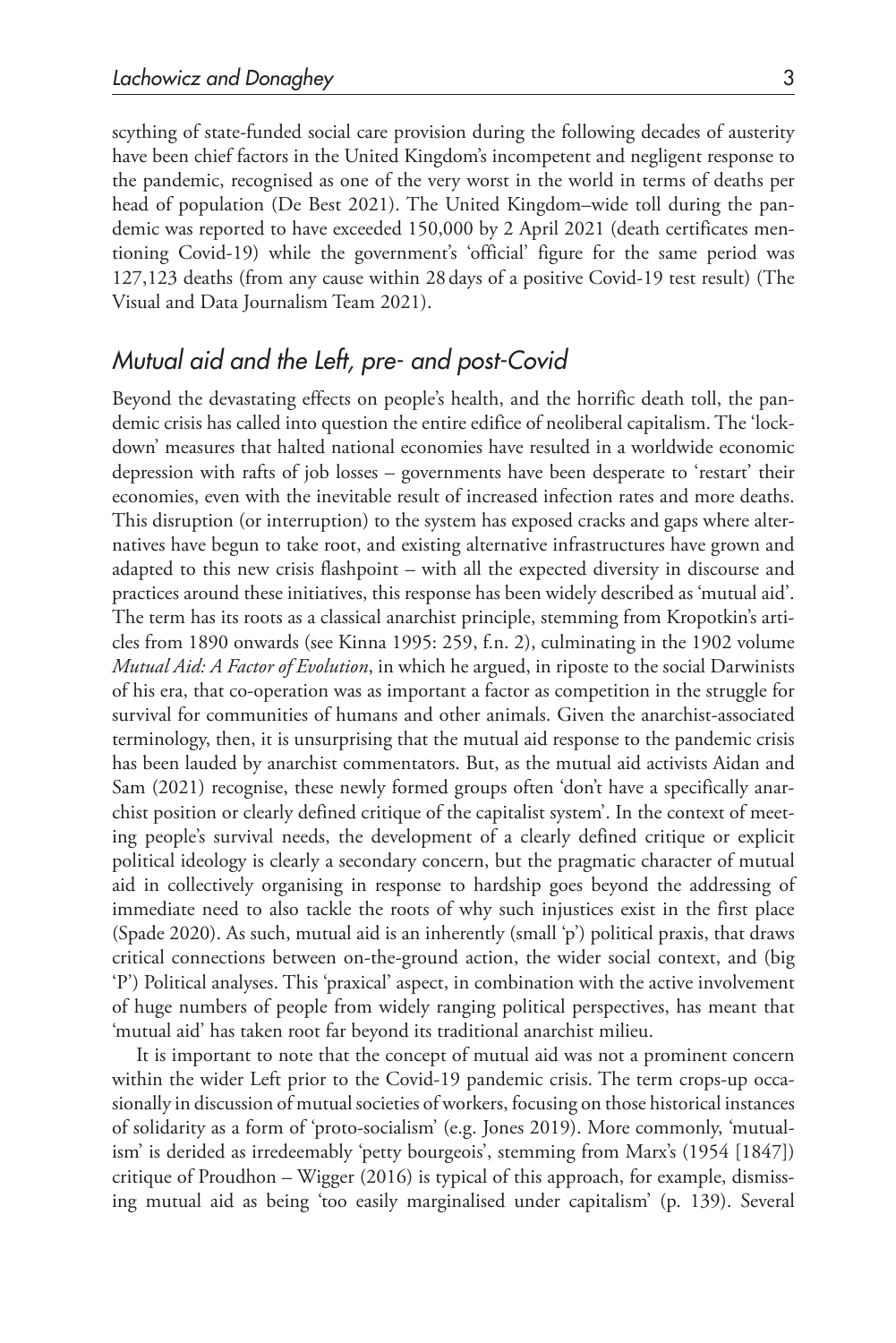scything of state-funded social care provision during the following decades of austerity have been chief factors in the United Kingdom's incompetent and negligent response to the pandemic, recognised as one of the very worst in the world in terms of deaths per head of population (De Best 2021). The United Kingdom–wide toll during the pandemic was reported to have exceeded 150,000 by 2 April 2021 (death certificates mentioning Covid-19) while the government's 'official' figure for the same period was 127,123 deaths (from any cause within 28days of a positive Covid-19 test result) (The Visual and Data Journalism Team 2021).

## *Mutual aid and the Left, pre- and post-Covid*

Beyond the devastating effects on people's health, and the horrific death toll, the pandemic crisis has called into question the entire edifice of neoliberal capitalism. The 'lockdown' measures that halted national economies have resulted in a worldwide economic depression with rafts of job losses – governments have been desperate to 'restart' their economies, even with the inevitable result of increased infection rates and more deaths. This disruption (or interruption) to the system has exposed cracks and gaps where alternatives have begun to take root, and existing alternative infrastructures have grown and adapted to this new crisis flashpoint – with all the expected diversity in discourse and practices around these initiatives, this response has been widely described as 'mutual aid'. The term has its roots as a classical anarchist principle, stemming from Kropotkin's articles from 1890 onwards (see Kinna 1995: 259, f.n. 2), culminating in the 1902 volume *Mutual Aid: A Factor of Evolution*, in which he argued, in riposte to the social Darwinists of his era, that co-operation was as important a factor as competition in the struggle for survival for communities of humans and other animals. Given the anarchist-associated terminology, then, it is unsurprising that the mutual aid response to the pandemic crisis has been lauded by anarchist commentators. But, as the mutual aid activists Aidan and Sam (2021) recognise, these newly formed groups often 'don't have a specifically anarchist position or clearly defined critique of the capitalist system'. In the context of meeting people's survival needs, the development of a clearly defined critique or explicit political ideology is clearly a secondary concern, but the pragmatic character of mutual aid in collectively organising in response to hardship goes beyond the addressing of immediate need to also tackle the roots of why such injustices exist in the first place (Spade 2020). As such, mutual aid is an inherently (small 'p') political praxis, that draws critical connections between on-the-ground action, the wider social context, and (big 'P') Political analyses. This 'praxical' aspect, in combination with the active involvement of huge numbers of people from widely ranging political perspectives, has meant that 'mutual aid' has taken root far beyond its traditional anarchist milieu.

It is important to note that the concept of mutual aid was not a prominent concern within the wider Left prior to the Covid-19 pandemic crisis. The term crops-up occasionally in discussion of mutual societies of workers, focusing on those historical instances of solidarity as a form of 'proto-socialism' (e.g. Jones 2019). More commonly, 'mutualism' is derided as irredeemably 'petty bourgeois', stemming from Marx's (1954 [1847]) critique of Proudhon – Wigger  $(2016)$  is typical of this approach, for example, dismissing mutual aid as being 'too easily marginalised under capitalism' (p. 139). Several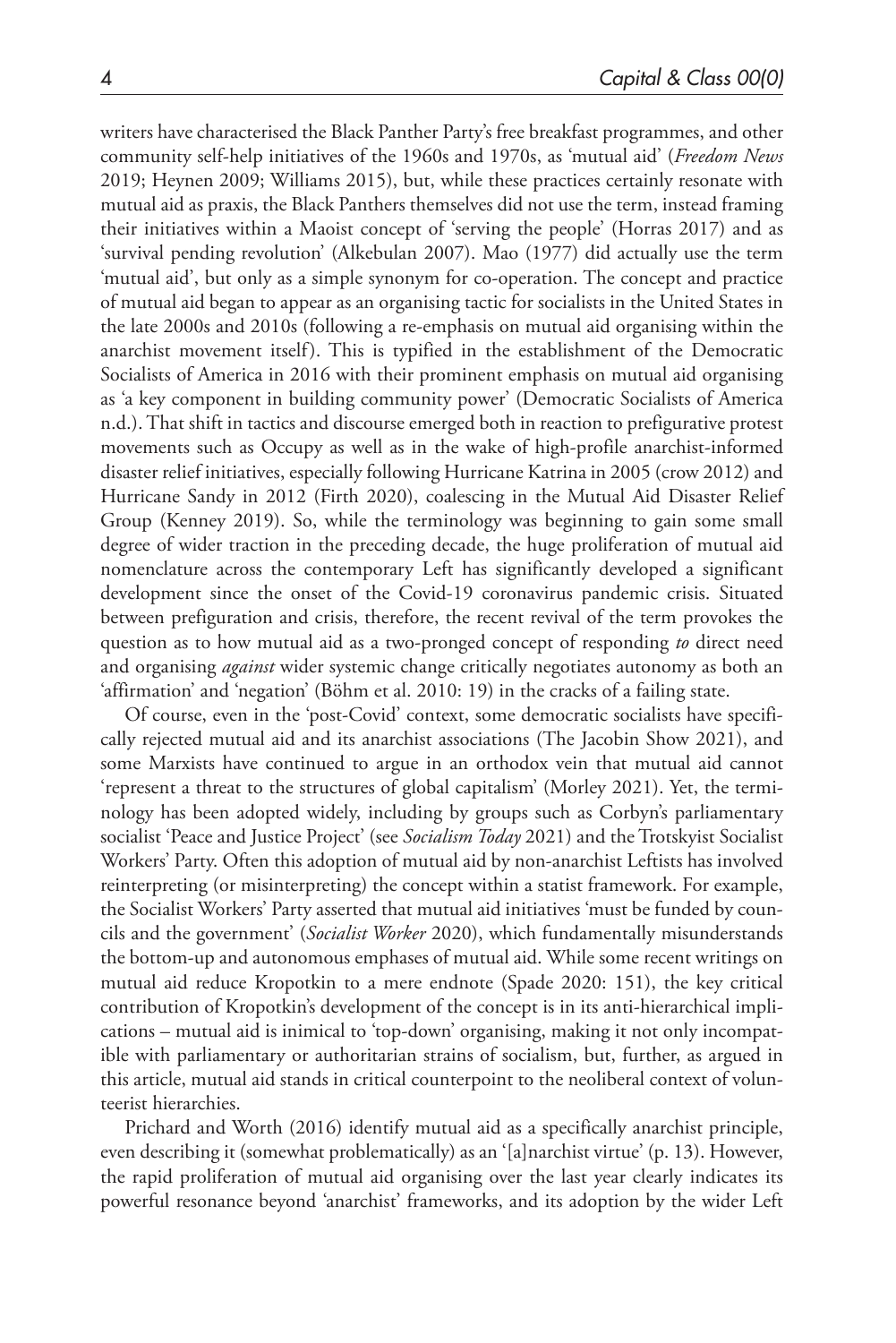writers have characterised the Black Panther Party's free breakfast programmes, and other community self-help initiatives of the 1960s and 1970s, as 'mutual aid' (*Freedom News* 2019; Heynen 2009; Williams 2015), but, while these practices certainly resonate with mutual aid as praxis, the Black Panthers themselves did not use the term, instead framing their initiatives within a Maoist concept of 'serving the people' (Horras 2017) and as 'survival pending revolution' (Alkebulan 2007). Mao (1977) did actually use the term 'mutual aid', but only as a simple synonym for co-operation. The concept and practice of mutual aid began to appear as an organising tactic for socialists in the United States in the late 2000s and 2010s (following a re-emphasis on mutual aid organising within the anarchist movement itself). This is typified in the establishment of the Democratic Socialists of America in 2016 with their prominent emphasis on mutual aid organising as 'a key component in building community power' (Democratic Socialists of America n.d.). That shift in tactics and discourse emerged both in reaction to prefigurative protest movements such as Occupy as well as in the wake of high-profile anarchist-informed disaster relief initiatives, especially following Hurricane Katrina in 2005 (crow 2012) and Hurricane Sandy in 2012 (Firth 2020), coalescing in the Mutual Aid Disaster Relief Group (Kenney 2019). So, while the terminology was beginning to gain some small degree of wider traction in the preceding decade, the huge proliferation of mutual aid nomenclature across the contemporary Left has significantly developed a significant development since the onset of the Covid-19 coronavirus pandemic crisis. Situated between prefiguration and crisis, therefore, the recent revival of the term provokes the question as to how mutual aid as a two-pronged concept of responding *to* direct need and organising *against* wider systemic change critically negotiates autonomy as both an 'affirmation' and 'negation' (Böhm et al. 2010: 19) in the cracks of a failing state.

Of course, even in the 'post-Covid' context, some democratic socialists have specifically rejected mutual aid and its anarchist associations (The Jacobin Show 2021), and some Marxists have continued to argue in an orthodox vein that mutual aid cannot 'represent a threat to the structures of global capitalism' (Morley 2021). Yet, the terminology has been adopted widely, including by groups such as Corbyn's parliamentary socialist 'Peace and Justice Project' (see *Socialism Today* 2021) and the Trotskyist Socialist Workers' Party. Often this adoption of mutual aid by non-anarchist Leftists has involved reinterpreting (or misinterpreting) the concept within a statist framework. For example, the Socialist Workers' Party asserted that mutual aid initiatives 'must be funded by councils and the government' (*Socialist Worker* 2020), which fundamentally misunderstands the bottom-up and autonomous emphases of mutual aid. While some recent writings on mutual aid reduce Kropotkin to a mere endnote (Spade 2020: 151), the key critical contribution of Kropotkin's development of the concept is in its anti-hierarchical implications – mutual aid is inimical to 'top-down' organising, making it not only incompatible with parliamentary or authoritarian strains of socialism, but, further, as argued in this article, mutual aid stands in critical counterpoint to the neoliberal context of volunteerist hierarchies.

Prichard and Worth (2016) identify mutual aid as a specifically anarchist principle, even describing it (somewhat problematically) as an '[a]narchist virtue' (p. 13). However, the rapid proliferation of mutual aid organising over the last year clearly indicates its powerful resonance beyond 'anarchist' frameworks, and its adoption by the wider Left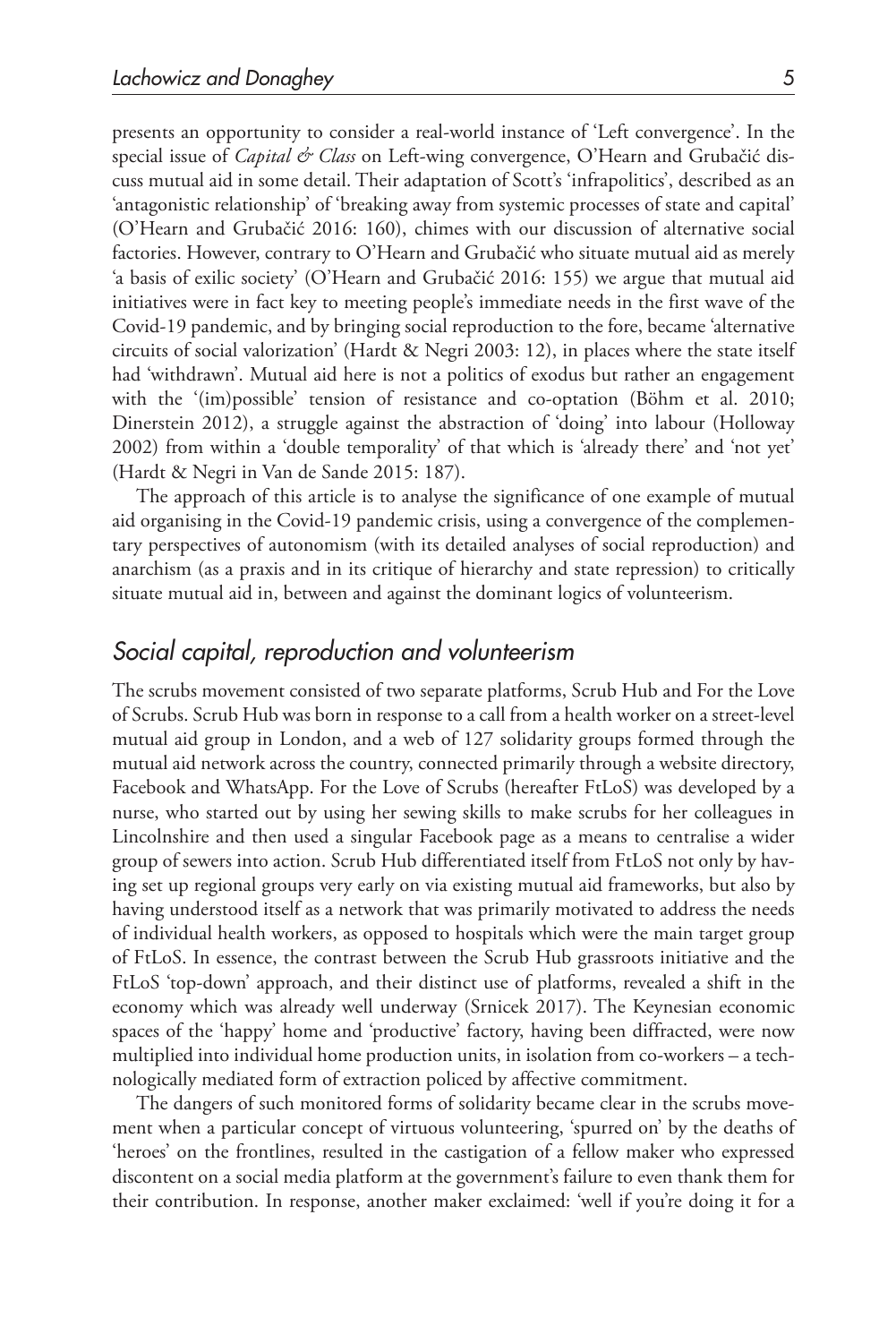presents an opportunity to consider a real-world instance of 'Left convergence'. In the special issue of *Capital & Class* on Left-wing convergence, O'Hearn and Grubačić discuss mutual aid in some detail. Their adaptation of Scott's 'infrapolitics', described as an 'antagonistic relationship' of 'breaking away from systemic processes of state and capital' (O'Hearn and Grubačić 2016: 160), chimes with our discussion of alternative social factories. However, contrary to O'Hearn and Grubačić who situate mutual aid as merely 'a basis of exilic society' (O'Hearn and Grubačić 2016: 155) we argue that mutual aid initiatives were in fact key to meeting people's immediate needs in the first wave of the Covid-19 pandemic, and by bringing social reproduction to the fore, became 'alternative circuits of social valorization' (Hardt & Negri 2003: 12), in places where the state itself had 'withdrawn'. Mutual aid here is not a politics of exodus but rather an engagement with the '(im)possible' tension of resistance and co-optation (Böhm et al. 2010; Dinerstein 2012), a struggle against the abstraction of 'doing' into labour (Holloway 2002) from within a 'double temporality' of that which is 'already there' and 'not yet' (Hardt & Negri in Van de Sande 2015: 187).

The approach of this article is to analyse the significance of one example of mutual aid organising in the Covid-19 pandemic crisis, using a convergence of the complementary perspectives of autonomism (with its detailed analyses of social reproduction) and anarchism (as a praxis and in its critique of hierarchy and state repression) to critically situate mutual aid in, between and against the dominant logics of volunteerism.

### *Social capital, reproduction and volunteerism*

The scrubs movement consisted of two separate platforms, Scrub Hub and For the Love of Scrubs. Scrub Hub was born in response to a call from a health worker on a street-level mutual aid group in London, and a web of 127 solidarity groups formed through the mutual aid network across the country, connected primarily through a website directory, Facebook and WhatsApp. For the Love of Scrubs (hereafter FtLoS) was developed by a nurse, who started out by using her sewing skills to make scrubs for her colleagues in Lincolnshire and then used a singular Facebook page as a means to centralise a wider group of sewers into action. Scrub Hub differentiated itself from FtLoS not only by having set up regional groups very early on via existing mutual aid frameworks, but also by having understood itself as a network that was primarily motivated to address the needs of individual health workers, as opposed to hospitals which were the main target group of FtLoS. In essence, the contrast between the Scrub Hub grassroots initiative and the FtLoS 'top-down' approach, and their distinct use of platforms, revealed a shift in the economy which was already well underway (Srnicek 2017). The Keynesian economic spaces of the 'happy' home and 'productive' factory, having been diffracted, were now multiplied into individual home production units, in isolation from co-workers – a technologically mediated form of extraction policed by affective commitment.

The dangers of such monitored forms of solidarity became clear in the scrubs movement when a particular concept of virtuous volunteering, 'spurred on' by the deaths of 'heroes' on the frontlines, resulted in the castigation of a fellow maker who expressed discontent on a social media platform at the government's failure to even thank them for their contribution. In response, another maker exclaimed: 'well if you're doing it for a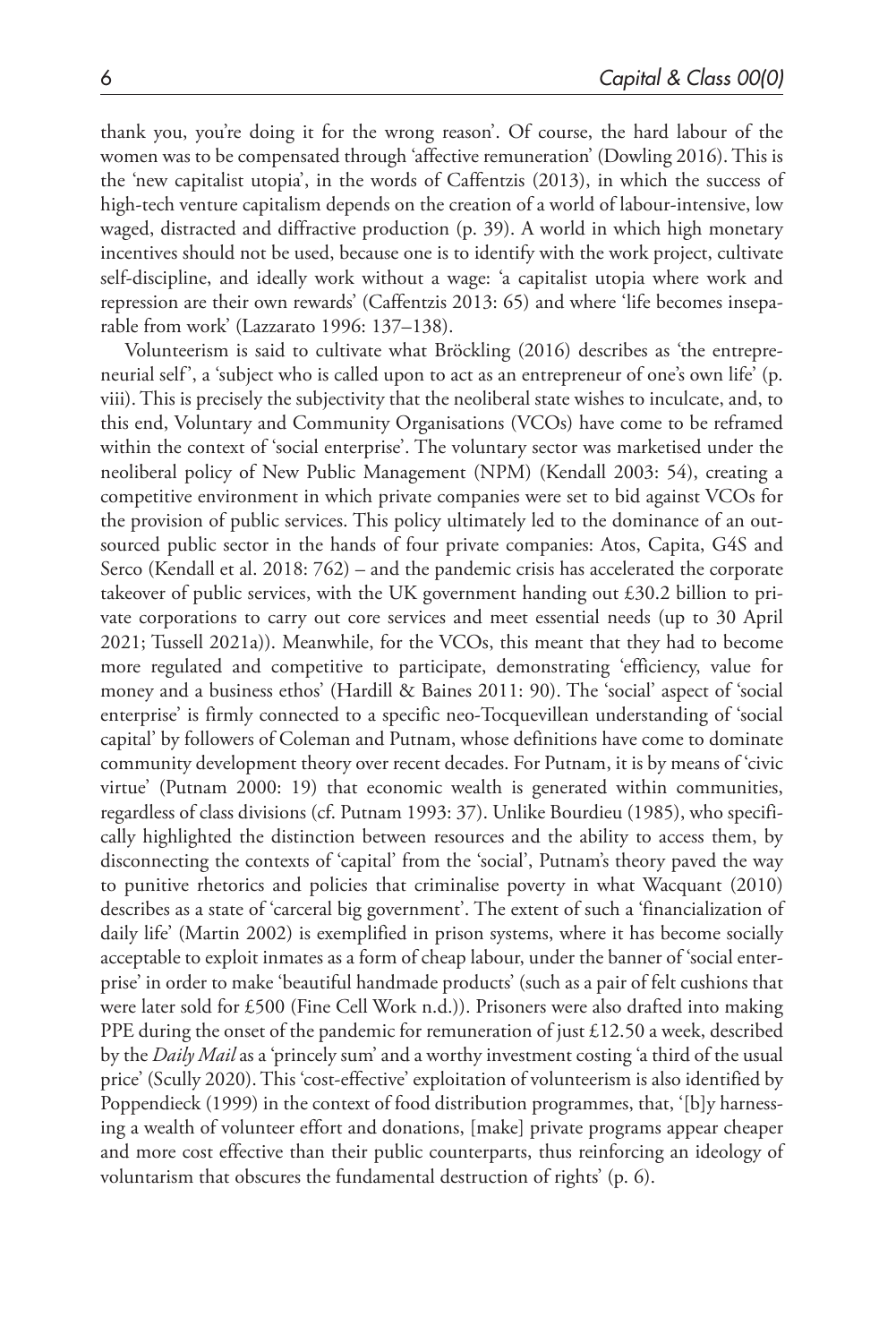thank you, you're doing it for the wrong reason'. Of course, the hard labour of the women was to be compensated through 'affective remuneration' (Dowling 2016). This is the 'new capitalist utopia', in the words of Caffentzis (2013), in which the success of high-tech venture capitalism depends on the creation of a world of labour-intensive, low waged, distracted and diffractive production (p. 39). A world in which high monetary incentives should not be used, because one is to identify with the work project, cultivate self-discipline, and ideally work without a wage: 'a capitalist utopia where work and repression are their own rewards' (Caffentzis 2013: 65) and where 'life becomes inseparable from work' (Lazzarato 1996: 137–138).

Volunteerism is said to cultivate what Bröckling (2016) describes as 'the entrepreneurial self', a 'subject who is called upon to act as an entrepreneur of one's own life' (p. viii). This is precisely the subjectivity that the neoliberal state wishes to inculcate, and, to this end, Voluntary and Community Organisations (VCOs) have come to be reframed within the context of 'social enterprise'. The voluntary sector was marketised under the neoliberal policy of New Public Management (NPM) (Kendall 2003: 54), creating a competitive environment in which private companies were set to bid against VCOs for the provision of public services. This policy ultimately led to the dominance of an outsourced public sector in the hands of four private companies: Atos, Capita, G4S and Serco (Kendall et al. 2018: 762) – and the pandemic crisis has accelerated the corporate takeover of public services, with the UK government handing out £30.2 billion to private corporations to carry out core services and meet essential needs (up to 30 April 2021; Tussell 2021a)). Meanwhile, for the VCOs, this meant that they had to become more regulated and competitive to participate, demonstrating 'efficiency, value for money and a business ethos' (Hardill & Baines 2011: 90). The 'social' aspect of 'social enterprise' is firmly connected to a specific neo-Tocquevillean understanding of 'social capital' by followers of Coleman and Putnam, whose definitions have come to dominate community development theory over recent decades. For Putnam, it is by means of 'civic virtue' (Putnam 2000: 19) that economic wealth is generated within communities, regardless of class divisions (cf. Putnam 1993: 37). Unlike Bourdieu (1985), who specifically highlighted the distinction between resources and the ability to access them, by disconnecting the contexts of 'capital' from the 'social', Putnam's theory paved the way to punitive rhetorics and policies that criminalise poverty in what Wacquant (2010) describes as a state of 'carceral big government'. The extent of such a 'financialization of daily life' (Martin 2002) is exemplified in prison systems, where it has become socially acceptable to exploit inmates as a form of cheap labour, under the banner of 'social enterprise' in order to make 'beautiful handmade products' (such as a pair of felt cushions that were later sold for £500 (Fine Cell Work n.d.)). Prisoners were also drafted into making PPE during the onset of the pandemic for remuneration of just  $£12.50$  a week, described by the *Daily Mail* as a 'princely sum' and a worthy investment costing 'a third of the usual price' (Scully 2020). This 'cost-effective' exploitation of volunteerism is also identified by Poppendieck (1999) in the context of food distribution programmes, that, '[b]y harnessing a wealth of volunteer effort and donations, [make] private programs appear cheaper and more cost effective than their public counterparts, thus reinforcing an ideology of voluntarism that obscures the fundamental destruction of rights' (p. 6).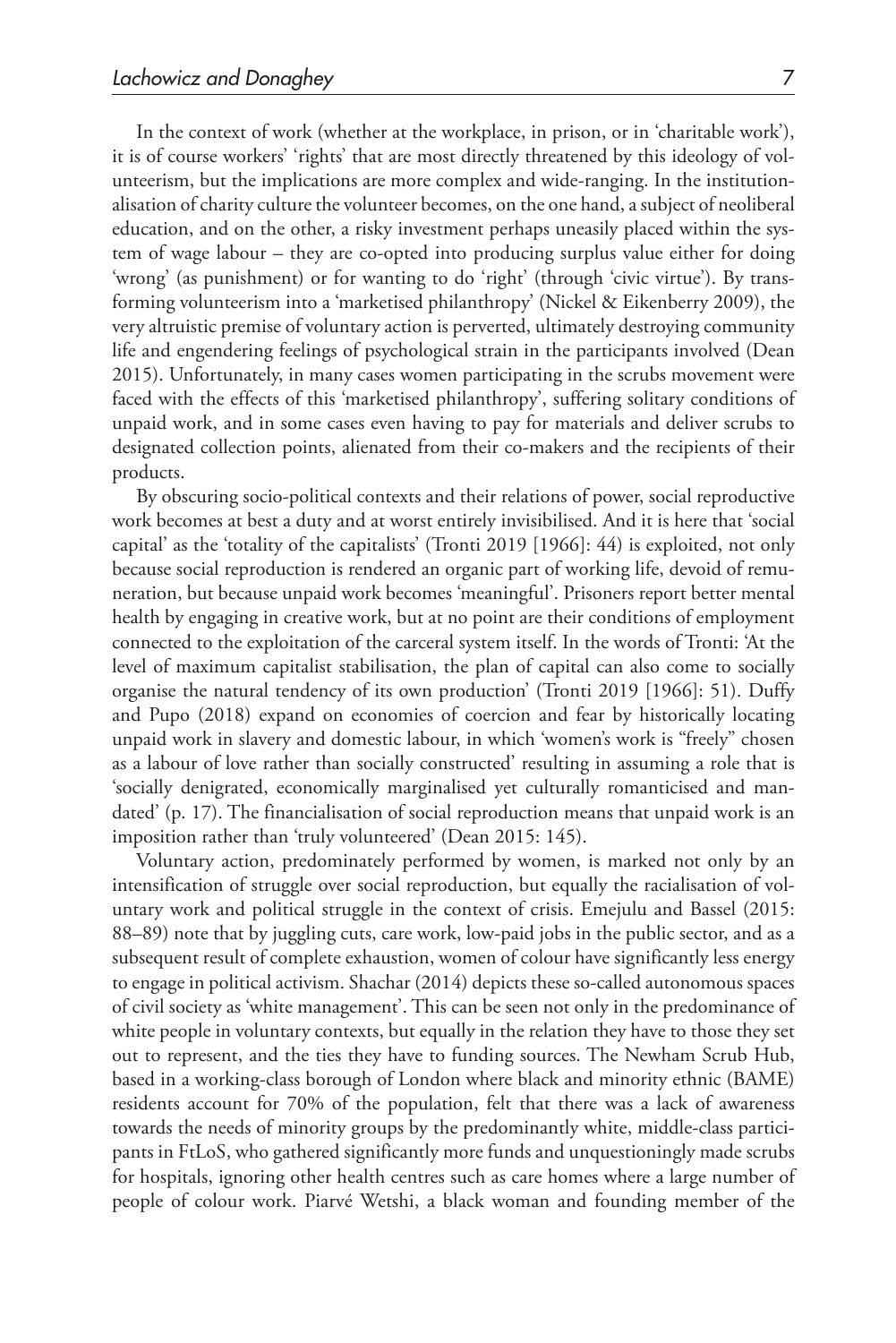In the context of work (whether at the workplace, in prison, or in 'charitable work'), it is of course workers' 'rights' that are most directly threatened by this ideology of volunteerism, but the implications are more complex and wide-ranging. In the institutionalisation of charity culture the volunteer becomes, on the one hand, a subject of neoliberal education, and on the other, a risky investment perhaps uneasily placed within the system of wage labour – they are co-opted into producing surplus value either for doing 'wrong' (as punishment) or for wanting to do 'right' (through 'civic virtue'). By transforming volunteerism into a 'marketised philanthropy' (Nickel & Eikenberry 2009), the very altruistic premise of voluntary action is perverted, ultimately destroying community life and engendering feelings of psychological strain in the participants involved (Dean 2015). Unfortunately, in many cases women participating in the scrubs movement were faced with the effects of this 'marketised philanthropy', suffering solitary conditions of unpaid work, and in some cases even having to pay for materials and deliver scrubs to designated collection points, alienated from their co-makers and the recipients of their products.

By obscuring socio-political contexts and their relations of power, social reproductive work becomes at best a duty and at worst entirely invisibilised. And it is here that 'social capital' as the 'totality of the capitalists' (Tronti 2019 [1966]: 44) is exploited, not only because social reproduction is rendered an organic part of working life, devoid of remuneration, but because unpaid work becomes 'meaningful'. Prisoners report better mental health by engaging in creative work, but at no point are their conditions of employment connected to the exploitation of the carceral system itself. In the words of Tronti: 'At the level of maximum capitalist stabilisation, the plan of capital can also come to socially organise the natural tendency of its own production' (Tronti 2019 [1966]: 51). Duffy and Pupo (2018) expand on economies of coercion and fear by historically locating unpaid work in slavery and domestic labour, in which 'women's work is "freely" chosen as a labour of love rather than socially constructed' resulting in assuming a role that is 'socially denigrated, economically marginalised yet culturally romanticised and mandated' (p. 17). The financialisation of social reproduction means that unpaid work is an imposition rather than 'truly volunteered' (Dean 2015: 145).

Voluntary action, predominately performed by women, is marked not only by an intensification of struggle over social reproduction, but equally the racialisation of voluntary work and political struggle in the context of crisis. Emejulu and Bassel (2015: 88–89) note that by juggling cuts, care work, low-paid jobs in the public sector, and as a subsequent result of complete exhaustion, women of colour have significantly less energy to engage in political activism. Shachar (2014) depicts these so-called autonomous spaces of civil society as 'white management'. This can be seen not only in the predominance of white people in voluntary contexts, but equally in the relation they have to those they set out to represent, and the ties they have to funding sources. The Newham Scrub Hub, based in a working-class borough of London where black and minority ethnic (BAME) residents account for 70% of the population, felt that there was a lack of awareness towards the needs of minority groups by the predominantly white, middle-class participants in FtLoS, who gathered significantly more funds and unquestioningly made scrubs for hospitals, ignoring other health centres such as care homes where a large number of people of colour work. Piarvé Wetshi, a black woman and founding member of the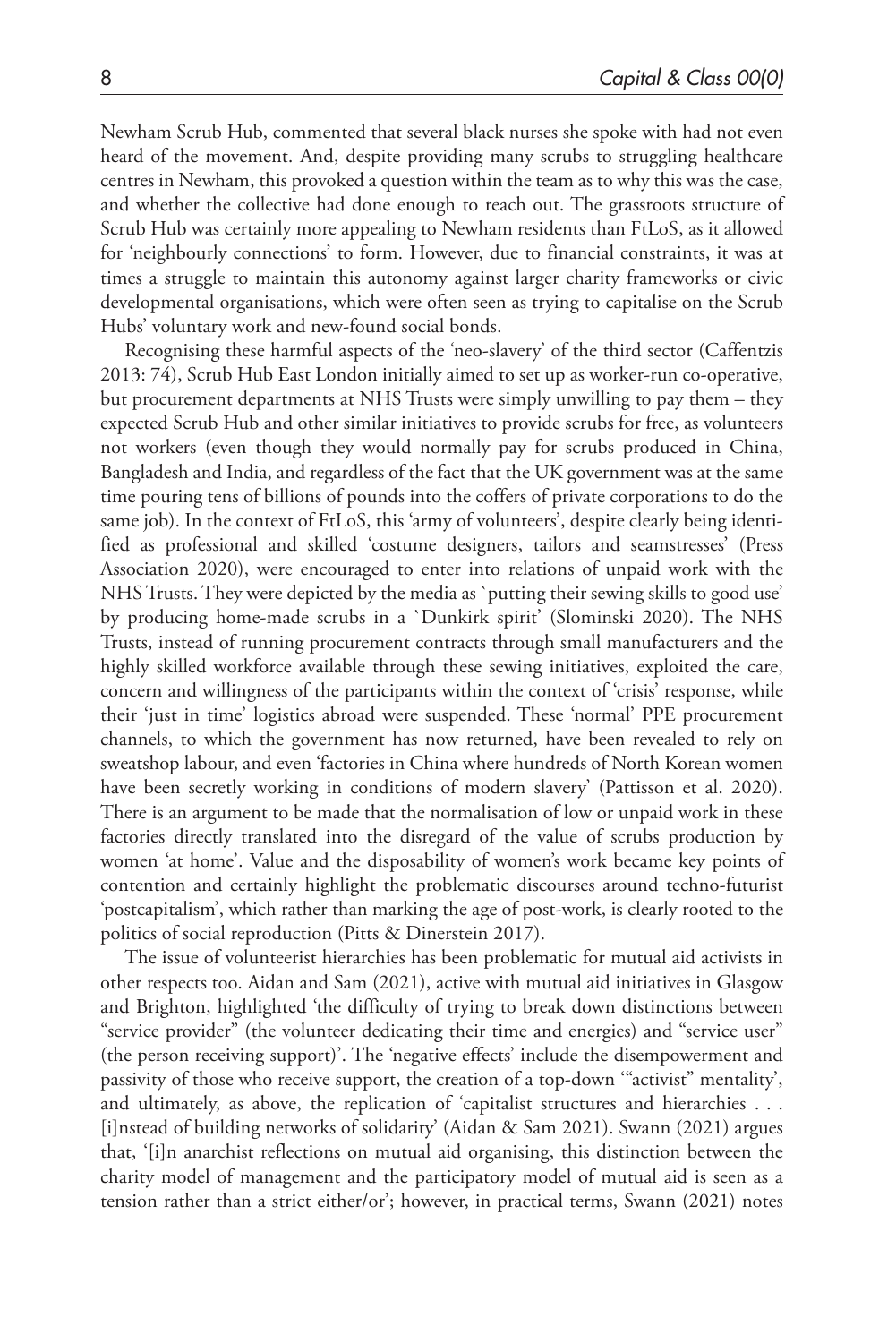Newham Scrub Hub, commented that several black nurses she spoke with had not even heard of the movement. And, despite providing many scrubs to struggling healthcare centres in Newham, this provoked a question within the team as to why this was the case, and whether the collective had done enough to reach out. The grassroots structure of Scrub Hub was certainly more appealing to Newham residents than FtLoS, as it allowed for 'neighbourly connections' to form. However, due to financial constraints, it was at times a struggle to maintain this autonomy against larger charity frameworks or civic developmental organisations, which were often seen as trying to capitalise on the Scrub Hubs' voluntary work and new-found social bonds.

Recognising these harmful aspects of the 'neo-slavery' of the third sector (Caffentzis 2013: 74), Scrub Hub East London initially aimed to set up as worker-run co-operative, but procurement departments at NHS Trusts were simply unwilling to pay them – they expected Scrub Hub and other similar initiatives to provide scrubs for free, as volunteers not workers (even though they would normally pay for scrubs produced in China, Bangladesh and India, and regardless of the fact that the UK government was at the same time pouring tens of billions of pounds into the coffers of private corporations to do the same job). In the context of FtLoS, this 'army of volunteers', despite clearly being identified as professional and skilled 'costume designers, tailors and seamstresses' (Press Association 2020), were encouraged to enter into relations of unpaid work with the NHS Trusts. They were depicted by the media as `putting their sewing skills to good use' by producing home-made scrubs in a `Dunkirk spirit' (Slominski 2020). The NHS Trusts, instead of running procurement contracts through small manufacturers and the highly skilled workforce available through these sewing initiatives, exploited the care, concern and willingness of the participants within the context of 'crisis' response, while their 'just in time' logistics abroad were suspended. These 'normal' PPE procurement channels, to which the government has now returned, have been revealed to rely on sweatshop labour, and even 'factories in China where hundreds of North Korean women have been secretly working in conditions of modern slavery' (Pattisson et al. 2020). There is an argument to be made that the normalisation of low or unpaid work in these factories directly translated into the disregard of the value of scrubs production by women 'at home'. Value and the disposability of women's work became key points of contention and certainly highlight the problematic discourses around techno-futurist 'postcapitalism', which rather than marking the age of post-work, is clearly rooted to the politics of social reproduction (Pitts & Dinerstein 2017).

The issue of volunteerist hierarchies has been problematic for mutual aid activists in other respects too. Aidan and Sam (2021), active with mutual aid initiatives in Glasgow and Brighton, highlighted 'the difficulty of trying to break down distinctions between "service provider" (the volunteer dedicating their time and energies) and "service user" (the person receiving support)'. The 'negative effects' include the disempowerment and passivity of those who receive support, the creation of a top-down '"activist" mentality', and ultimately, as above, the replication of 'capitalist structures and hierarchies . . . [i]nstead of building networks of solidarity' (Aidan & Sam 2021). Swann (2021) argues that, '[i]n anarchist reflections on mutual aid organising, this distinction between the charity model of management and the participatory model of mutual aid is seen as a tension rather than a strict either/or'; however, in practical terms, Swann (2021) notes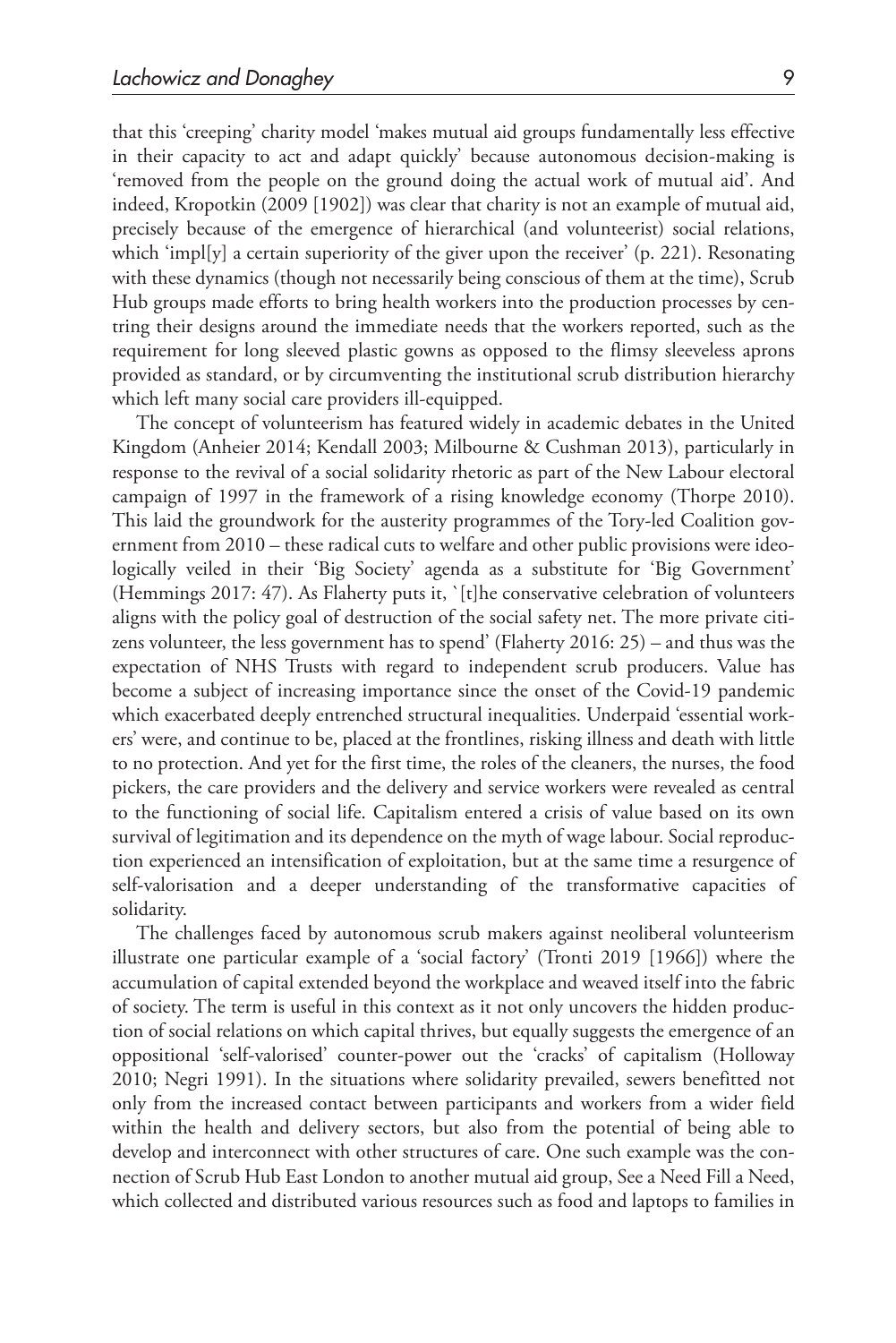that this 'creeping' charity model 'makes mutual aid groups fundamentally less effective in their capacity to act and adapt quickly' because autonomous decision-making is 'removed from the people on the ground doing the actual work of mutual aid'. And indeed, Kropotkin (2009 [1902]) was clear that charity is not an example of mutual aid, precisely because of the emergence of hierarchical (and volunteerist) social relations, which 'impl[y] a certain superiority of the giver upon the receiver' (p. 221). Resonating with these dynamics (though not necessarily being conscious of them at the time), Scrub Hub groups made efforts to bring health workers into the production processes by centring their designs around the immediate needs that the workers reported, such as the requirement for long sleeved plastic gowns as opposed to the flimsy sleeveless aprons provided as standard, or by circumventing the institutional scrub distribution hierarchy which left many social care providers ill-equipped.

The concept of volunteerism has featured widely in academic debates in the United Kingdom (Anheier 2014; Kendall 2003; Milbourne & Cushman 2013), particularly in response to the revival of a social solidarity rhetoric as part of the New Labour electoral campaign of 1997 in the framework of a rising knowledge economy (Thorpe 2010). This laid the groundwork for the austerity programmes of the Tory-led Coalition government from 2010 – these radical cuts to welfare and other public provisions were ideologically veiled in their 'Big Society' agenda as a substitute for 'Big Government' (Hemmings 2017: 47). As Flaherty puts it, `[t]he conservative celebration of volunteers aligns with the policy goal of destruction of the social safety net. The more private citizens volunteer, the less government has to spend' (Flaherty 2016: 25) – and thus was the expectation of NHS Trusts with regard to independent scrub producers. Value has become a subject of increasing importance since the onset of the Covid-19 pandemic which exacerbated deeply entrenched structural inequalities. Underpaid 'essential workers' were, and continue to be, placed at the frontlines, risking illness and death with little to no protection. And yet for the first time, the roles of the cleaners, the nurses, the food pickers, the care providers and the delivery and service workers were revealed as central to the functioning of social life. Capitalism entered a crisis of value based on its own survival of legitimation and its dependence on the myth of wage labour. Social reproduction experienced an intensification of exploitation, but at the same time a resurgence of self-valorisation and a deeper understanding of the transformative capacities of solidarity.

The challenges faced by autonomous scrub makers against neoliberal volunteerism illustrate one particular example of a 'social factory' (Tronti 2019 [1966]) where the accumulation of capital extended beyond the workplace and weaved itself into the fabric of society. The term is useful in this context as it not only uncovers the hidden production of social relations on which capital thrives, but equally suggests the emergence of an oppositional 'self-valorised' counter-power out the 'cracks' of capitalism (Holloway 2010; Negri 1991). In the situations where solidarity prevailed, sewers benefitted not only from the increased contact between participants and workers from a wider field within the health and delivery sectors, but also from the potential of being able to develop and interconnect with other structures of care. One such example was the connection of Scrub Hub East London to another mutual aid group, See a Need Fill a Need, which collected and distributed various resources such as food and laptops to families in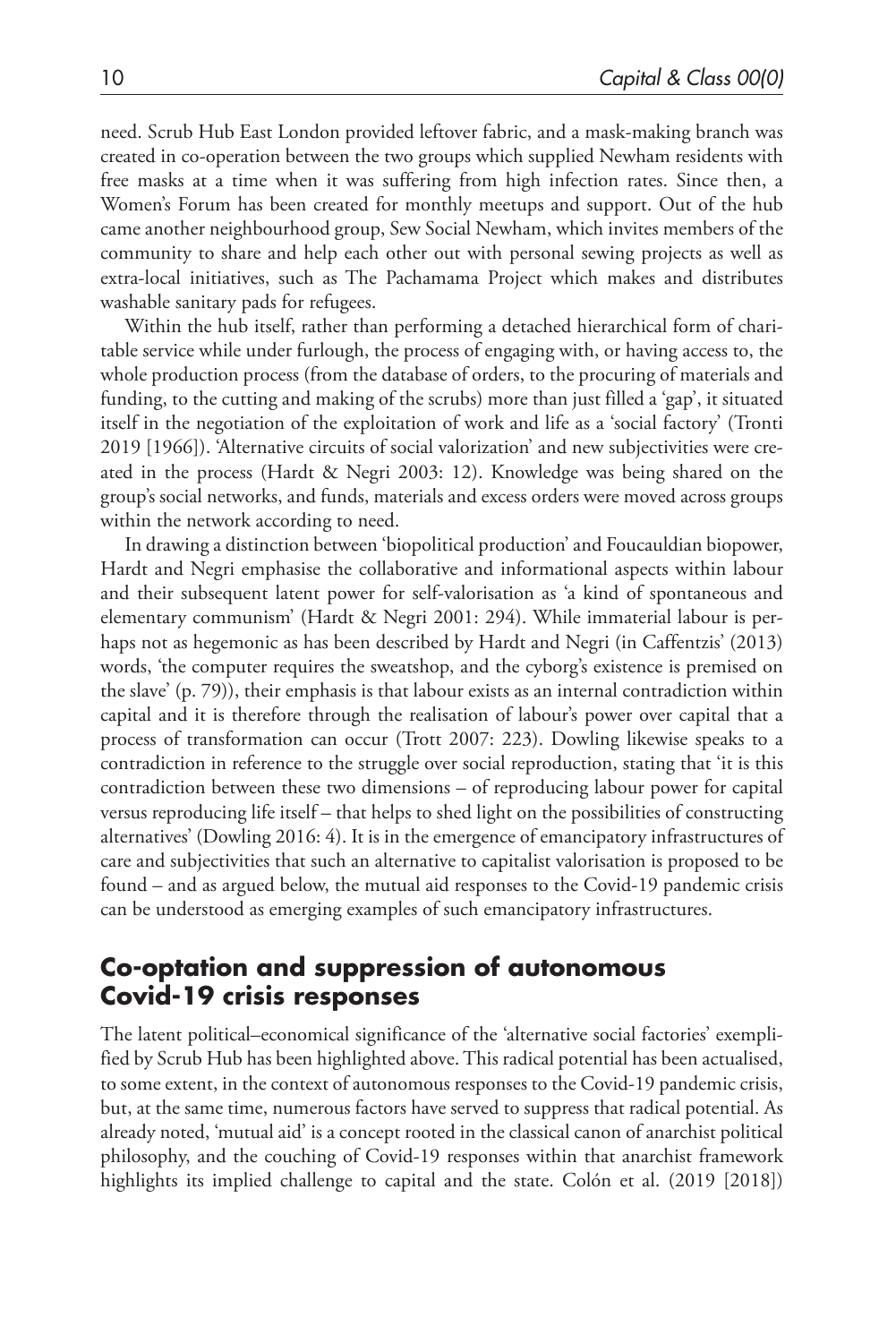need. Scrub Hub East London provided leftover fabric, and a mask-making branch was created in co-operation between the two groups which supplied Newham residents with free masks at a time when it was suffering from high infection rates. Since then, a Women's Forum has been created for monthly meetups and support. Out of the hub came another neighbourhood group, Sew Social Newham, which invites members of the community to share and help each other out with personal sewing projects as well as extra-local initiatives, such as The Pachamama Project which makes and distributes washable sanitary pads for refugees.

Within the hub itself, rather than performing a detached hierarchical form of charitable service while under furlough, the process of engaging with, or having access to, the whole production process (from the database of orders, to the procuring of materials and funding, to the cutting and making of the scrubs) more than just filled a 'gap', it situated itself in the negotiation of the exploitation of work and life as a 'social factory' (Tronti 2019 [1966]). 'Alternative circuits of social valorization' and new subjectivities were created in the process (Hardt & Negri 2003: 12). Knowledge was being shared on the group's social networks, and funds, materials and excess orders were moved across groups within the network according to need.

In drawing a distinction between 'biopolitical production' and Foucauldian biopower, Hardt and Negri emphasise the collaborative and informational aspects within labour and their subsequent latent power for self-valorisation as 'a kind of spontaneous and elementary communism' (Hardt & Negri 2001: 294). While immaterial labour is perhaps not as hegemonic as has been described by Hardt and Negri (in Caffentzis' (2013) words, 'the computer requires the sweatshop, and the cyborg's existence is premised on the slave' (p. 79)), their emphasis is that labour exists as an internal contradiction within capital and it is therefore through the realisation of labour's power over capital that a process of transformation can occur (Trott 2007: 223). Dowling likewise speaks to a contradiction in reference to the struggle over social reproduction, stating that 'it is this contradiction between these two dimensions – of reproducing labour power for capital versus reproducing life itself – that helps to shed light on the possibilities of constructing alternatives' (Dowling 2016: 4). It is in the emergence of emancipatory infrastructures of care and subjectivities that such an alternative to capitalist valorisation is proposed to be found – and as argued below, the mutual aid responses to the Covid-19 pandemic crisis can be understood as emerging examples of such emancipatory infrastructures.

# **Co-optation and suppression of autonomous Covid-19 crisis responses**

The latent political–economical significance of the 'alternative social factories' exemplified by Scrub Hub has been highlighted above. This radical potential has been actualised, to some extent, in the context of autonomous responses to the Covid-19 pandemic crisis, but, at the same time, numerous factors have served to suppress that radical potential. As already noted, 'mutual aid' is a concept rooted in the classical canon of anarchist political philosophy, and the couching of Covid-19 responses within that anarchist framework highlights its implied challenge to capital and the state. Colón et al. (2019 [2018])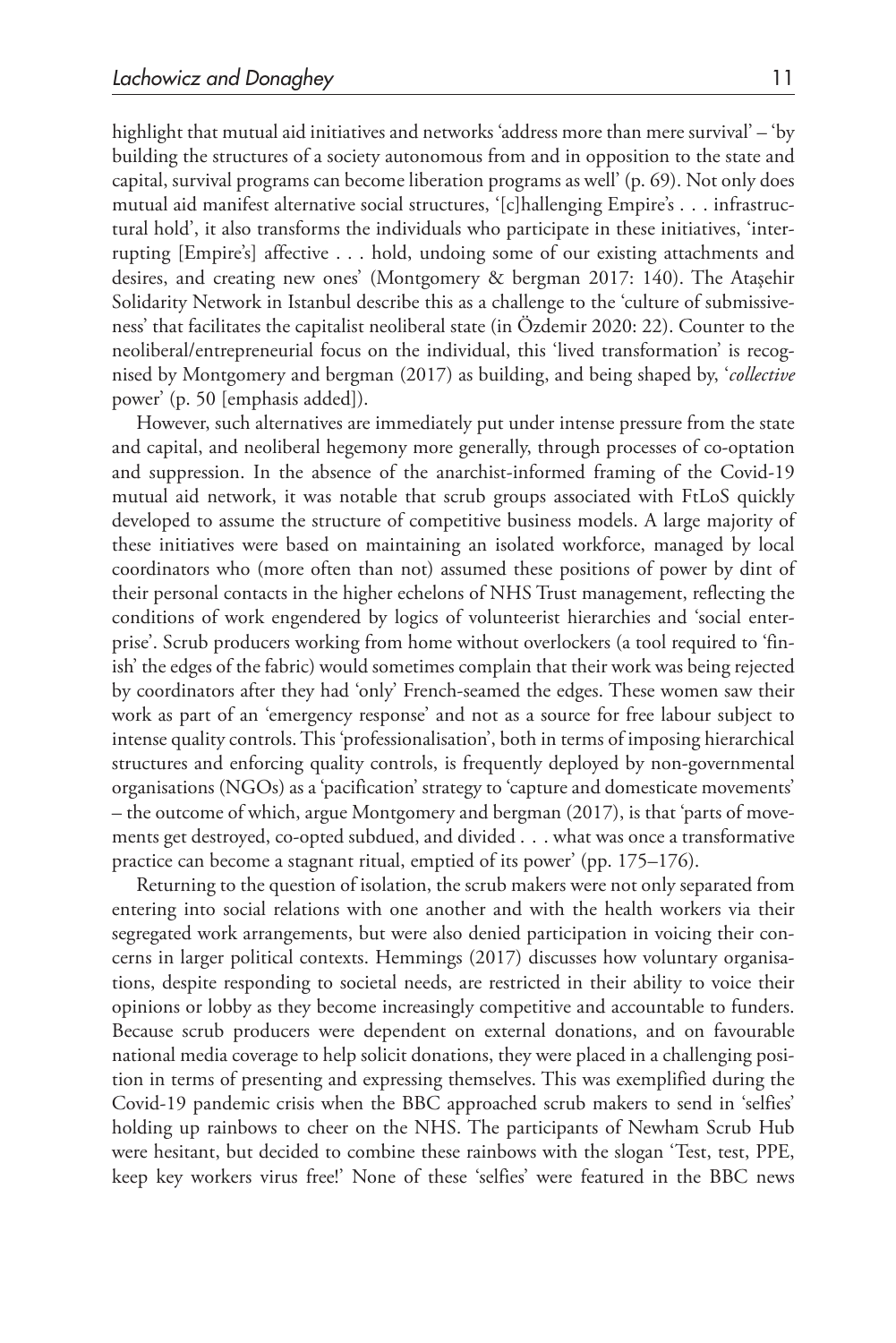highlight that mutual aid initiatives and networks 'address more than mere survival' – 'by building the structures of a society autonomous from and in opposition to the state and capital, survival programs can become liberation programs as well' (p. 69). Not only does mutual aid manifest alternative social structures, '[c]hallenging Empire's . . . infrastructural hold', it also transforms the individuals who participate in these initiatives, 'interrupting [Empire's] affective . . . hold, undoing some of our existing attachments and desires, and creating new ones' (Montgomery & bergman 2017: 140). The Ataşehir Solidarity Network in Istanbul describe this as a challenge to the 'culture of submissiveness' that facilitates the capitalist neoliberal state (in Özdemir 2020: 22). Counter to the neoliberal/entrepreneurial focus on the individual, this 'lived transformation' is recognised by Montgomery and bergman (2017) as building, and being shaped by, '*collective* power' (p. 50 [emphasis added]).

However, such alternatives are immediately put under intense pressure from the state and capital, and neoliberal hegemony more generally, through processes of co-optation and suppression. In the absence of the anarchist-informed framing of the Covid-19 mutual aid network, it was notable that scrub groups associated with FtLoS quickly developed to assume the structure of competitive business models. A large majority of these initiatives were based on maintaining an isolated workforce, managed by local coordinators who (more often than not) assumed these positions of power by dint of their personal contacts in the higher echelons of NHS Trust management, reflecting the conditions of work engendered by logics of volunteerist hierarchies and 'social enterprise'. Scrub producers working from home without overlockers (a tool required to 'finish' the edges of the fabric) would sometimes complain that their work was being rejected by coordinators after they had 'only' French-seamed the edges. These women saw their work as part of an 'emergency response' and not as a source for free labour subject to intense quality controls. This 'professionalisation', both in terms of imposing hierarchical structures and enforcing quality controls, is frequently deployed by non-governmental organisations (NGOs) as a 'pacification' strategy to 'capture and domesticate movements' – the outcome of which, argue Montgomery and bergman (2017), is that 'parts of movements get destroyed, co-opted subdued, and divided . . . what was once a transformative practice can become a stagnant ritual, emptied of its power' (pp. 175–176).

Returning to the question of isolation, the scrub makers were not only separated from entering into social relations with one another and with the health workers via their segregated work arrangements, but were also denied participation in voicing their concerns in larger political contexts. Hemmings (2017) discusses how voluntary organisations, despite responding to societal needs, are restricted in their ability to voice their opinions or lobby as they become increasingly competitive and accountable to funders. Because scrub producers were dependent on external donations, and on favourable national media coverage to help solicit donations, they were placed in a challenging position in terms of presenting and expressing themselves. This was exemplified during the Covid-19 pandemic crisis when the BBC approached scrub makers to send in 'selfies' holding up rainbows to cheer on the NHS. The participants of Newham Scrub Hub were hesitant, but decided to combine these rainbows with the slogan 'Test, test, PPE, keep key workers virus free!' None of these 'selfies' were featured in the BBC news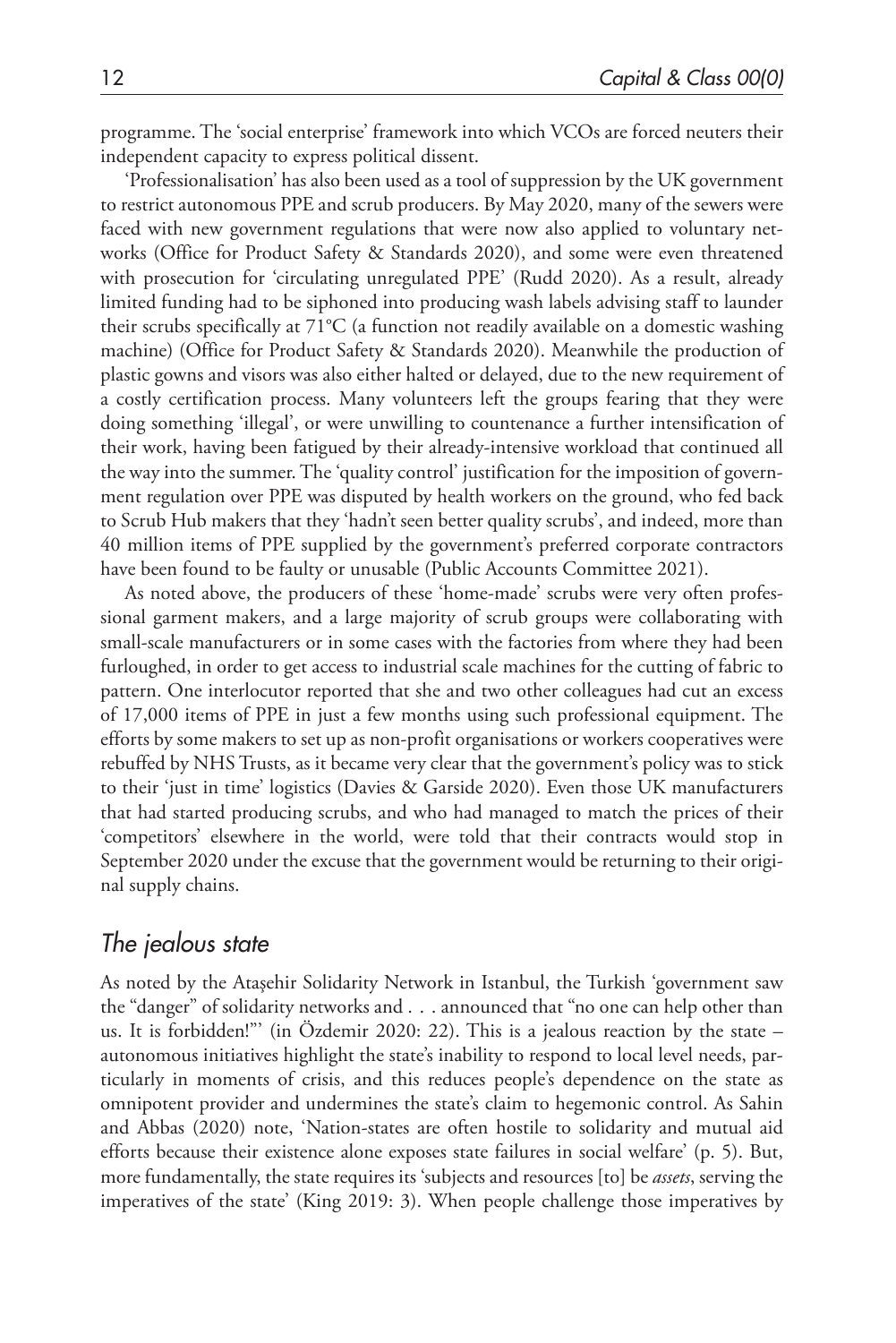programme. The 'social enterprise' framework into which VCOs are forced neuters their independent capacity to express political dissent.

'Professionalisation' has also been used as a tool of suppression by the UK government to restrict autonomous PPE and scrub producers. By May 2020, many of the sewers were faced with new government regulations that were now also applied to voluntary networks (Office for Product Safety & Standards 2020), and some were even threatened with prosecution for 'circulating unregulated PPE' (Rudd 2020). As a result, already limited funding had to be siphoned into producing wash labels advising staff to launder their scrubs specifically at 71°C (a function not readily available on a domestic washing machine) (Office for Product Safety & Standards 2020). Meanwhile the production of plastic gowns and visors was also either halted or delayed, due to the new requirement of a costly certification process. Many volunteers left the groups fearing that they were doing something 'illegal', or were unwilling to countenance a further intensification of their work, having been fatigued by their already-intensive workload that continued all the way into the summer. The 'quality control' justification for the imposition of government regulation over PPE was disputed by health workers on the ground, who fed back to Scrub Hub makers that they 'hadn't seen better quality scrubs', and indeed, more than 40 million items of PPE supplied by the government's preferred corporate contractors have been found to be faulty or unusable (Public Accounts Committee 2021).

As noted above, the producers of these 'home-made' scrubs were very often professional garment makers, and a large majority of scrub groups were collaborating with small-scale manufacturers or in some cases with the factories from where they had been furloughed, in order to get access to industrial scale machines for the cutting of fabric to pattern. One interlocutor reported that she and two other colleagues had cut an excess of 17,000 items of PPE in just a few months using such professional equipment. The efforts by some makers to set up as non-profit organisations or workers cooperatives were rebuffed by NHS Trusts, as it became very clear that the government's policy was to stick to their 'just in time' logistics (Davies & Garside 2020). Even those UK manufacturers that had started producing scrubs, and who had managed to match the prices of their 'competitors' elsewhere in the world, were told that their contracts would stop in September 2020 under the excuse that the government would be returning to their original supply chains.

### *The jealous state*

As noted by the Ataşehir Solidarity Network in Istanbul, the Turkish 'government saw the "danger" of solidarity networks and . . . announced that "no one can help other than us. It is forbidden!"' (in Özdemir 2020: 22). This is a jealous reaction by the state – autonomous initiatives highlight the state's inability to respond to local level needs, particularly in moments of crisis, and this reduces people's dependence on the state as omnipotent provider and undermines the state's claim to hegemonic control. As Sahin and Abbas (2020) note, 'Nation-states are often hostile to solidarity and mutual aid efforts because their existence alone exposes state failures in social welfare' (p. 5). But, more fundamentally, the state requires its 'subjects and resources [to] be *assets*, serving the imperatives of the state' (King 2019: 3). When people challenge those imperatives by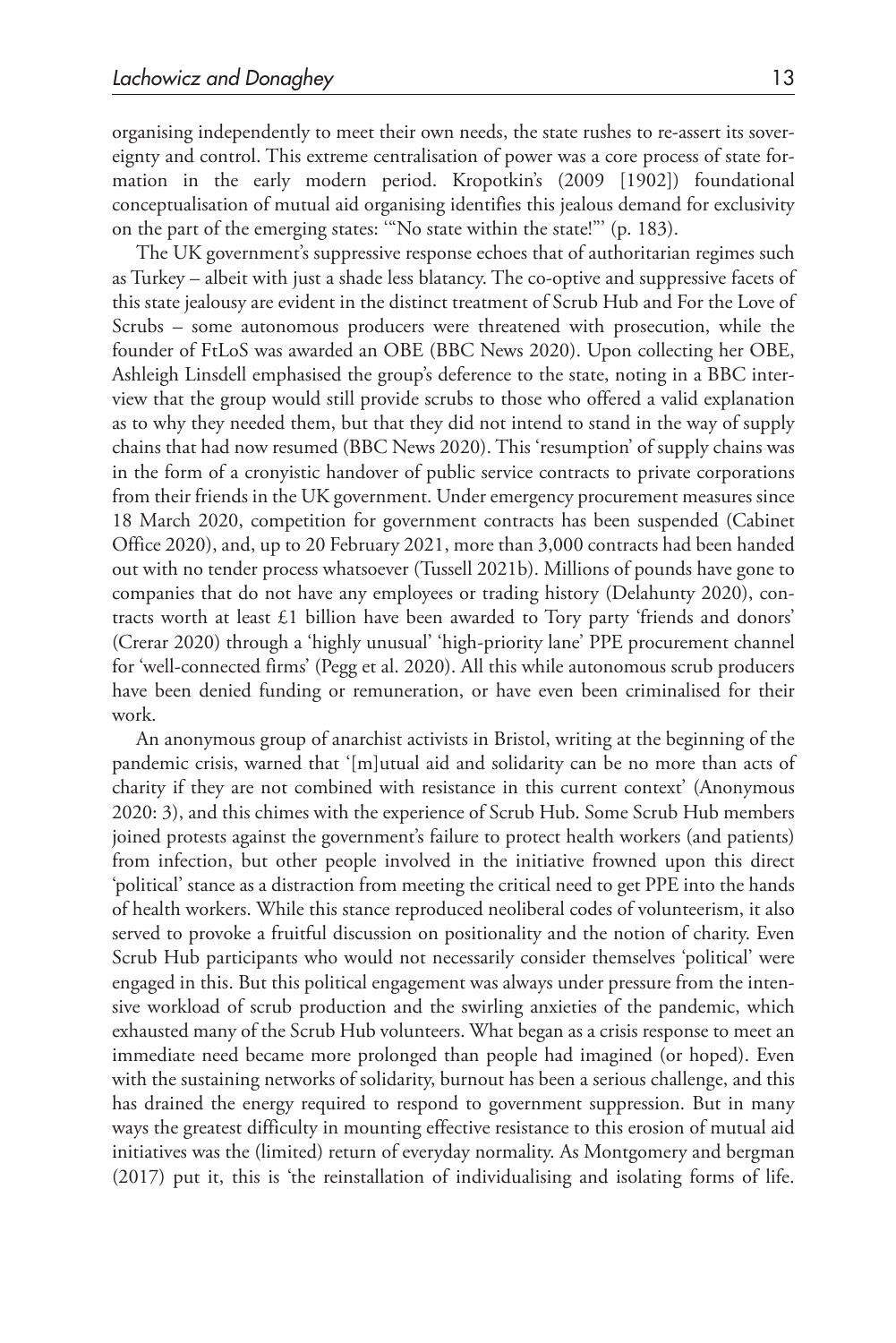organising independently to meet their own needs, the state rushes to re-assert its sovereignty and control. This extreme centralisation of power was a core process of state formation in the early modern period. Kropotkin's (2009 [1902]) foundational conceptualisation of mutual aid organising identifies this jealous demand for exclusivity on the part of the emerging states: '"No state within the state!"' (p. 183).

The UK government's suppressive response echoes that of authoritarian regimes such as Turkey – albeit with just a shade less blatancy. The co-optive and suppressive facets of this state jealousy are evident in the distinct treatment of Scrub Hub and For the Love of Scrubs – some autonomous producers were threatened with prosecution, while the founder of FtLoS was awarded an OBE (BBC News 2020). Upon collecting her OBE, Ashleigh Linsdell emphasised the group's deference to the state, noting in a BBC interview that the group would still provide scrubs to those who offered a valid explanation as to why they needed them, but that they did not intend to stand in the way of supply chains that had now resumed (BBC News 2020). This 'resumption' of supply chains was in the form of a cronyistic handover of public service contracts to private corporations from their friends in the UK government. Under emergency procurement measures since 18 March 2020, competition for government contracts has been suspended (Cabinet Office 2020), and, up to 20 February 2021, more than 3,000 contracts had been handed out with no tender process whatsoever (Tussell 2021b). Millions of pounds have gone to companies that do not have any employees or trading history (Delahunty 2020), contracts worth at least £1 billion have been awarded to Tory party 'friends and donors' (Crerar 2020) through a 'highly unusual' 'high-priority lane' PPE procurement channel for 'well-connected firms' (Pegg et al. 2020). All this while autonomous scrub producers have been denied funding or remuneration, or have even been criminalised for their work.

An anonymous group of anarchist activists in Bristol, writing at the beginning of the pandemic crisis, warned that '[m]utual aid and solidarity can be no more than acts of charity if they are not combined with resistance in this current context' (Anonymous 2020: 3), and this chimes with the experience of Scrub Hub. Some Scrub Hub members joined protests against the government's failure to protect health workers (and patients) from infection, but other people involved in the initiative frowned upon this direct 'political' stance as a distraction from meeting the critical need to get PPE into the hands of health workers. While this stance reproduced neoliberal codes of volunteerism, it also served to provoke a fruitful discussion on positionality and the notion of charity. Even Scrub Hub participants who would not necessarily consider themselves 'political' were engaged in this. But this political engagement was always under pressure from the intensive workload of scrub production and the swirling anxieties of the pandemic, which exhausted many of the Scrub Hub volunteers. What began as a crisis response to meet an immediate need became more prolonged than people had imagined (or hoped). Even with the sustaining networks of solidarity, burnout has been a serious challenge, and this has drained the energy required to respond to government suppression. But in many ways the greatest difficulty in mounting effective resistance to this erosion of mutual aid initiatives was the (limited) return of everyday normality. As Montgomery and bergman (2017) put it, this is 'the reinstallation of individualising and isolating forms of life.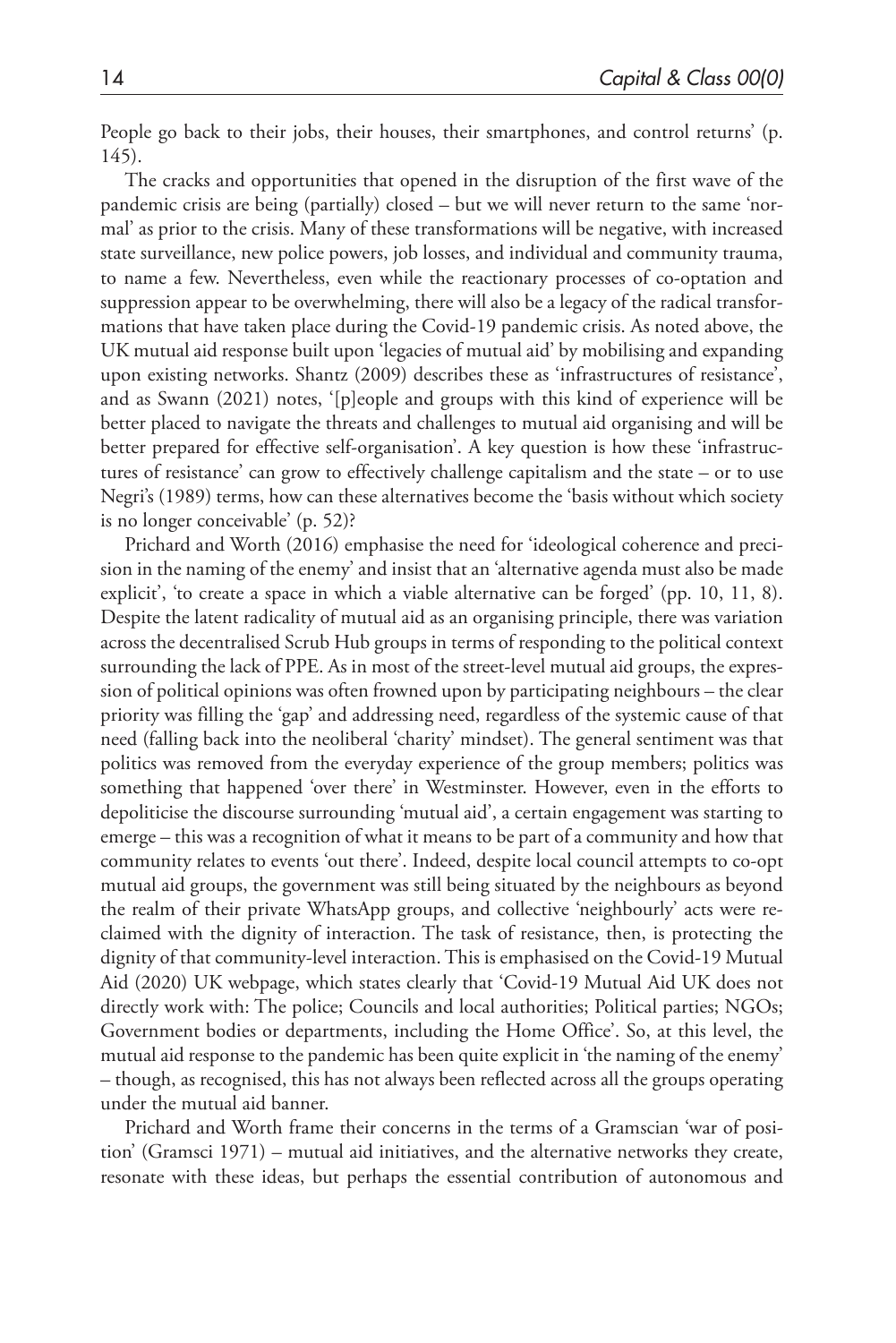People go back to their jobs, their houses, their smartphones, and control returns' (p. 145).

The cracks and opportunities that opened in the disruption of the first wave of the pandemic crisis are being (partially) closed – but we will never return to the same 'normal' as prior to the crisis. Many of these transformations will be negative, with increased state surveillance, new police powers, job losses, and individual and community trauma, to name a few. Nevertheless, even while the reactionary processes of co-optation and suppression appear to be overwhelming, there will also be a legacy of the radical transformations that have taken place during the Covid-19 pandemic crisis. As noted above, the UK mutual aid response built upon 'legacies of mutual aid' by mobilising and expanding upon existing networks. Shantz (2009) describes these as 'infrastructures of resistance', and as Swann (2021) notes, '[p]eople and groups with this kind of experience will be better placed to navigate the threats and challenges to mutual aid organising and will be better prepared for effective self-organisation'. A key question is how these 'infrastructures of resistance' can grow to effectively challenge capitalism and the state – or to use Negri's (1989) terms, how can these alternatives become the 'basis without which society is no longer conceivable' (p. 52)?

Prichard and Worth (2016) emphasise the need for 'ideological coherence and precision in the naming of the enemy' and insist that an 'alternative agenda must also be made explicit', 'to create a space in which a viable alternative can be forged' (pp. 10, 11, 8). Despite the latent radicality of mutual aid as an organising principle, there was variation across the decentralised Scrub Hub groups in terms of responding to the political context surrounding the lack of PPE. As in most of the street-level mutual aid groups, the expression of political opinions was often frowned upon by participating neighbours – the clear priority was filling the 'gap' and addressing need, regardless of the systemic cause of that need (falling back into the neoliberal 'charity' mindset). The general sentiment was that politics was removed from the everyday experience of the group members; politics was something that happened 'over there' in Westminster. However, even in the efforts to depoliticise the discourse surrounding 'mutual aid', a certain engagement was starting to emerge – this was a recognition of what it means to be part of a community and how that community relates to events 'out there'. Indeed, despite local council attempts to co-opt mutual aid groups, the government was still being situated by the neighbours as beyond the realm of their private WhatsApp groups, and collective 'neighbourly' acts were reclaimed with the dignity of interaction. The task of resistance, then, is protecting the dignity of that community-level interaction. This is emphasised on the Covid-19 Mutual Aid (2020) UK webpage, which states clearly that 'Covid-19 Mutual Aid UK does not directly work with: The police; Councils and local authorities; Political parties; NGOs; Government bodies or departments, including the Home Office'. So, at this level, the mutual aid response to the pandemic has been quite explicit in 'the naming of the enemy' – though, as recognised, this has not always been reflected across all the groups operating under the mutual aid banner.

Prichard and Worth frame their concerns in the terms of a Gramscian 'war of position' (Gramsci 1971) – mutual aid initiatives, and the alternative networks they create, resonate with these ideas, but perhaps the essential contribution of autonomous and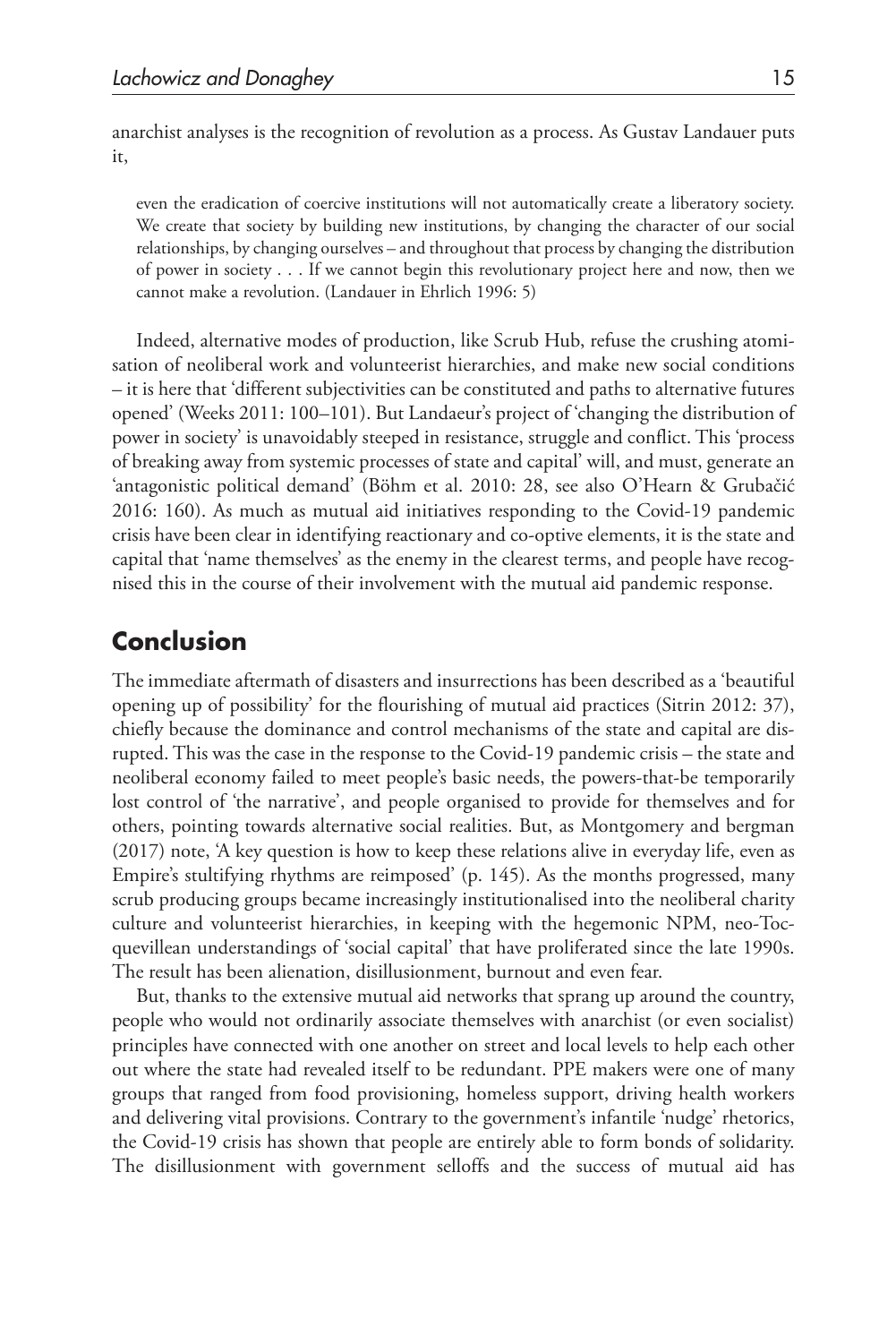anarchist analyses is the recognition of revolution as a process. As Gustav Landauer puts it,

even the eradication of coercive institutions will not automatically create a liberatory society. We create that society by building new institutions, by changing the character of our social relationships, by changing ourselves – and throughout that process by changing the distribution of power in society . . . If we cannot begin this revolutionary project here and now, then we cannot make a revolution. (Landauer in Ehrlich 1996: 5)

Indeed, alternative modes of production, like Scrub Hub, refuse the crushing atomisation of neoliberal work and volunteerist hierarchies, and make new social conditions – it is here that 'different subjectivities can be constituted and paths to alternative futures opened' (Weeks 2011: 100–101). But Landaeur's project of 'changing the distribution of power in society' is unavoidably steeped in resistance, struggle and conflict. This 'process of breaking away from systemic processes of state and capital' will, and must, generate an 'antagonistic political demand' (Böhm et al. 2010: 28, see also O'Hearn & Grubačić 2016: 160). As much as mutual aid initiatives responding to the Covid-19 pandemic crisis have been clear in identifying reactionary and co-optive elements, it is the state and capital that 'name themselves' as the enemy in the clearest terms, and people have recognised this in the course of their involvement with the mutual aid pandemic response.

# **Conclusion**

The immediate aftermath of disasters and insurrections has been described as a 'beautiful opening up of possibility' for the flourishing of mutual aid practices (Sitrin 2012: 37), chiefly because the dominance and control mechanisms of the state and capital are disrupted. This was the case in the response to the Covid-19 pandemic crisis – the state and neoliberal economy failed to meet people's basic needs, the powers-that-be temporarily lost control of 'the narrative', and people organised to provide for themselves and for others, pointing towards alternative social realities. But, as Montgomery and bergman (2017) note, 'A key question is how to keep these relations alive in everyday life, even as Empire's stultifying rhythms are reimposed' (p. 145). As the months progressed, many scrub producing groups became increasingly institutionalised into the neoliberal charity culture and volunteerist hierarchies, in keeping with the hegemonic NPM, neo-Tocquevillean understandings of 'social capital' that have proliferated since the late 1990s. The result has been alienation, disillusionment, burnout and even fear.

But, thanks to the extensive mutual aid networks that sprang up around the country, people who would not ordinarily associate themselves with anarchist (or even socialist) principles have connected with one another on street and local levels to help each other out where the state had revealed itself to be redundant. PPE makers were one of many groups that ranged from food provisioning, homeless support, driving health workers and delivering vital provisions. Contrary to the government's infantile 'nudge' rhetorics, the Covid-19 crisis has shown that people are entirely able to form bonds of solidarity. The disillusionment with government selloffs and the success of mutual aid has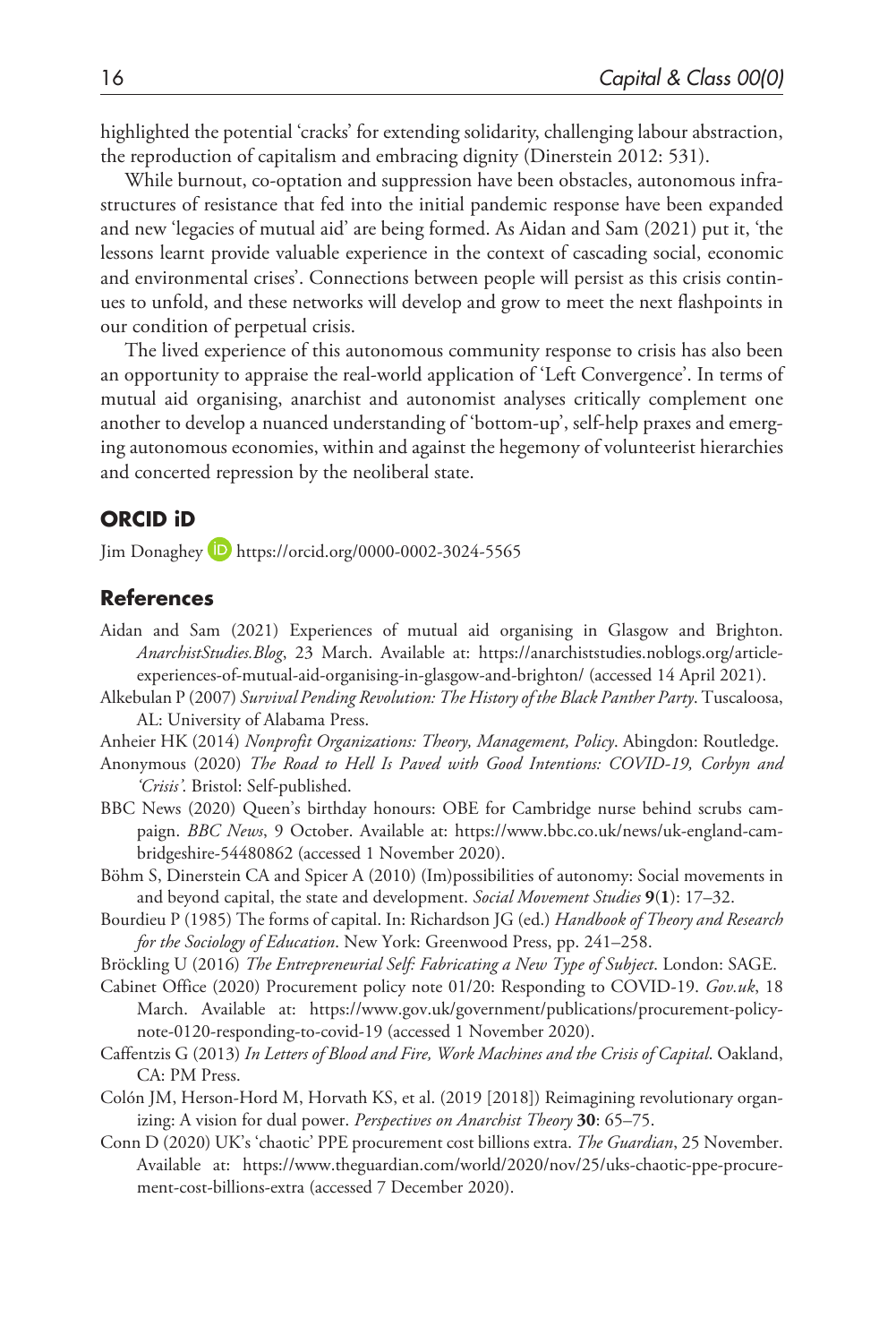highlighted the potential 'cracks' for extending solidarity, challenging labour abstraction, the reproduction of capitalism and embracing dignity (Dinerstein 2012: 531).

While burnout, co-optation and suppression have been obstacles, autonomous infrastructures of resistance that fed into the initial pandemic response have been expanded and new 'legacies of mutual aid' are being formed. As Aidan and Sam (2021) put it, 'the lessons learnt provide valuable experience in the context of cascading social, economic and environmental crises'. Connections between people will persist as this crisis continues to unfold, and these networks will develop and grow to meet the next flashpoints in our condition of perpetual crisis.

The lived experience of this autonomous community response to crisis has also been an opportunity to appraise the real-world application of 'Left Convergence'. In terms of mutual aid organising, anarchist and autonomist analyses critically complement one another to develop a nuanced understanding of 'bottom-up', self-help praxes and emerging autonomous economies, within and against the hegemony of volunteerist hierarchies and concerted repression by the neoliberal state.

#### **ORCID iD**

Jim Donaghey <https://orcid.org/0000-0002-3024-5565>

#### **References**

- Aidan and Sam (2021) Experiences of mutual aid organising in Glasgow and Brighton. *AnarchistStudies.Blog*, 23 March. Available at: [https://anarchiststudies.noblogs.org/article](https://anarchiststudies.noblogs.org/article-experiences-of-mutual-aid-organising-in-glasgow-and-brighton/)[experiences-of-mutual-aid-organising-in-glasgow-and-brighton/](https://anarchiststudies.noblogs.org/article-experiences-of-mutual-aid-organising-in-glasgow-and-brighton/) (accessed 14 April 2021).
- Alkebulan P (2007) *Survival Pending Revolution: The History of the Black Panther Party*. Tuscaloosa, AL: University of Alabama Press.
- Anheier HK (2014) *Nonprofit Organizations: Theory, Management, Policy*. Abingdon: Routledge.
- Anonymous (2020) *The Road to Hell Is Paved with Good Intentions: COVID-19, Corbyn and 'Crisis'*. Bristol: Self-published.
- BBC News (2020) Queen's birthday honours: OBE for Cambridge nurse behind scrubs campaign. *BBC News*, 9 October. Available at: [https://www.bbc.co.uk/news/uk-england-cam](https://www.bbc.co.uk/news/uk-england-cambridgeshire-54480862)[bridgeshire-54480862](https://www.bbc.co.uk/news/uk-england-cambridgeshire-54480862) (accessed 1 November 2020).
- Böhm S, Dinerstein CA and Spicer A (2010) (Im)possibilities of autonomy: Social movements in and beyond capital, the state and development. *Social Movement Studies* **9**(**1**): 17–32.
- Bourdieu P (1985) The forms of capital. In: Richardson JG (ed.) *Handbook of Theory and Research for the Sociology of Education*. New York: Greenwood Press, pp. 241–258.
- Bröckling U (2016) *The Entrepreneurial Self: Fabricating a New Type of Subject*. London: SAGE.
- Cabinet Office (2020) Procurement policy note 01/20: Responding to COVID-19. *Gov.uk*, 18 March. Available at: [https://www.gov.uk/government/publications/procurement-policy](https://www.gov.uk/government/publications/procurement-policy-note-0120-responding-to-covid-19)[note-0120-responding-to-covid-19](https://www.gov.uk/government/publications/procurement-policy-note-0120-responding-to-covid-19) (accessed 1 November 2020).
- Caffentzis G (2013) *In Letters of Blood and Fire, Work Machines and the Crisis of Capital*. Oakland, CA: PM Press.
- Colón JM, Herson-Hord M, Horvath KS, et al. (2019 [2018]) Reimagining revolutionary organizing: A vision for dual power. *Perspectives on Anarchist Theory* **30**: 65–75.
- Conn D (2020) UK's 'chaotic' PPE procurement cost billions extra. *The Guardian*, 25 November. Available at: [https://www.theguardian.com/world/2020/nov/25/uks-chaotic-ppe-procure](https://www.theguardian.com/world/2020/nov/25/uks-chaotic-ppe-procurement-cost-billions-extra)[ment-cost-billions-extra](https://www.theguardian.com/world/2020/nov/25/uks-chaotic-ppe-procurement-cost-billions-extra) (accessed 7 December 2020).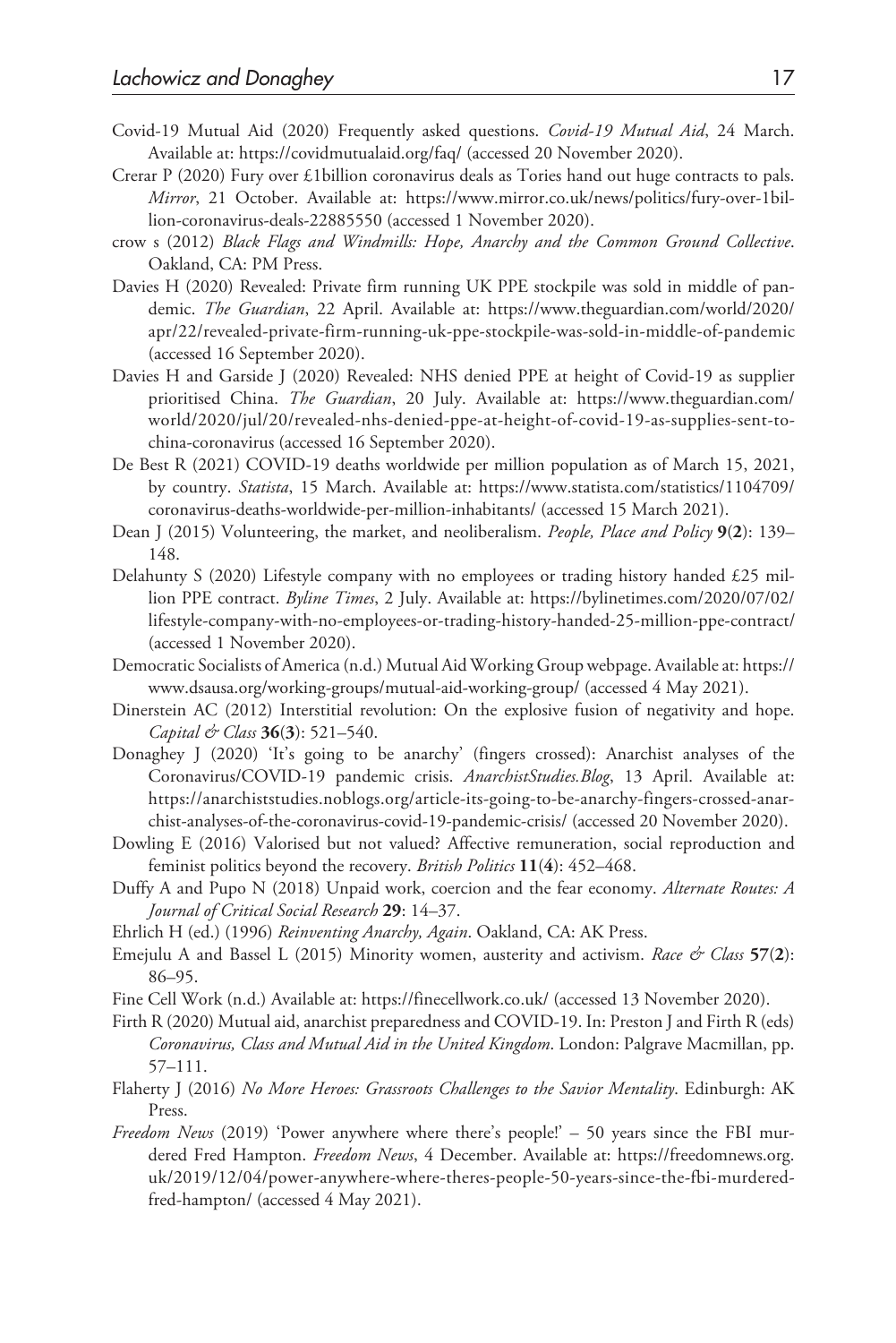- Covid-19 Mutual Aid (2020) Frequently asked questions. *Covid-19 Mutual Aid*, 24 March. Available at:<https://covidmutualaid.org/faq/> (accessed 20 November 2020).
- Crerar P (2020) Fury over £1billion coronavirus deals as Tories hand out huge contracts to pals. *Mirror*, 21 October. Available at: [https://www.mirror.co.uk/news/politics/fury-over-1bil](https://www.mirror.co.uk/news/politics/fury-over-1billion-coronavirus-deals-22885550)[lion-coronavirus-deals-22885550](https://www.mirror.co.uk/news/politics/fury-over-1billion-coronavirus-deals-22885550) (accessed 1 November 2020).
- crow s (2012) *Black Flags and Windmills: Hope, Anarchy and the Common Ground Collective*. Oakland, CA: PM Press.
- Davies H (2020) Revealed: Private firm running UK PPE stockpile was sold in middle of pandemic. *The Guardian*, 22 April. Available at: [https://www.theguardian.com/world/2020/](https://www.theguardian.com/world/2020/apr/22/revealed-private-firm-running-uk-ppe-stockpile-was-sold-in-middle-of-pandemic) [apr/22/revealed-private-firm-running-uk-ppe-stockpile-was-sold-in-middle-of-pandemic](https://www.theguardian.com/world/2020/apr/22/revealed-private-firm-running-uk-ppe-stockpile-was-sold-in-middle-of-pandemic)  (accessed 16 September 2020).
- Davies H and Garside J (2020) Revealed: NHS denied PPE at height of Covid-19 as supplier prioritised China. *The Guardian*, 20 July. Available at: [https://www.theguardian.com/](https://www.theguardian.com/world/2020/jul/20/revealed-nhs-denied-ppe-at-height-of-covid-19-as-supplies-sent-to-china-coronavirus) [world/2020/jul/20/revealed-nhs-denied-ppe-at-height-of-covid-19-as-supplies-sent-to](https://www.theguardian.com/world/2020/jul/20/revealed-nhs-denied-ppe-at-height-of-covid-19-as-supplies-sent-to-china-coronavirus)[china-coronavirus](https://www.theguardian.com/world/2020/jul/20/revealed-nhs-denied-ppe-at-height-of-covid-19-as-supplies-sent-to-china-coronavirus) (accessed 16 September 2020).
- De Best R (2021) COVID-19 deaths worldwide per million population as of March 15, 2021, by country. *Statista*, 15 March. Available at: [https://www.statista.com/statistics/1104709/](https://www.statista.com/statistics/1104709/coronavirus-deaths-worldwide-per-million-inhabitants/) [coronavirus-deaths-worldwide-per-million-inhabitants/](https://www.statista.com/statistics/1104709/coronavirus-deaths-worldwide-per-million-inhabitants/) (accessed 15 March 2021).
- Dean J (2015) Volunteering, the market, and neoliberalism. *People, Place and Policy* **9**(**2**): 139– 148.
- Delahunty S (2020) Lifestyle company with no employees or trading history handed £25 million PPE contract. *Byline Times*, 2 July. Available at: [https://bylinetimes.com/2020/07/02/](https://bylinetimes.com/2020/07/02/lifestyle-company-with-no-employees-or-trading-history-handed-25-million-ppe-contract/) [lifestyle-company-with-no-employees-or-trading-history-handed-25-million-ppe-contract/](https://bylinetimes.com/2020/07/02/lifestyle-company-with-no-employees-or-trading-history-handed-25-million-ppe-contract/)  (accessed 1 November 2020).
- Democratic Socialists of America (n.d.) Mutual Aid Working Group webpage. Available at: [https://](https://www.dsausa.org/working-groups/mutual-aid-working-group/) [www.dsausa.org/working-groups/mutual-aid-working-group/](https://www.dsausa.org/working-groups/mutual-aid-working-group/) (accessed 4 May 2021).
- Dinerstein AC (2012) Interstitial revolution: On the explosive fusion of negativity and hope. *Capital & Class* **36**(**3**): 521–540.
- Donaghey J (2020) 'It's going to be anarchy' (fingers crossed): Anarchist analyses of the Coronavirus/COVID-19 pandemic crisis. *AnarchistStudies.Blog*, 13 April. Available at: [https://anarchiststudies.noblogs.org/article-its-going-to-be-anarchy-fingers-crossed-anar](https://anarchiststudies.noblogs.org/article-its-going-to-be-anarchy-fingers-crossed-anarchist-analyses-of-the-coronavirus-covid-19-pandemic-crisis/)[chist-analyses-of-the-coronavirus-covid-19-pandemic-crisis/](https://anarchiststudies.noblogs.org/article-its-going-to-be-anarchy-fingers-crossed-anarchist-analyses-of-the-coronavirus-covid-19-pandemic-crisis/) (accessed 20 November 2020).
- Dowling E (2016) Valorised but not valued? Affective remuneration, social reproduction and feminist politics beyond the recovery. *British Politics* **11**(**4**): 452–468.
- Duffy A and Pupo N (2018) Unpaid work, coercion and the fear economy. *Alternate Routes: A Journal of Critical Social Research* **29**: 14–37.
- Ehrlich H (ed.) (1996) *Reinventing Anarchy, Again*. Oakland, CA: AK Press.
- Emejulu A and Bassel L (2015) Minority women, austerity and activism. *Race & Class* **57**(**2**): 86–95.
- Fine Cell Work (n.d.) Available at: <https://finecellwork.co.uk/> (accessed 13 November 2020).
- Firth R (2020) Mutual aid, anarchist preparedness and COVID-19. In: Preston J and Firth R (eds) *Coronavirus, Class and Mutual Aid in the United Kingdom*. London: Palgrave Macmillan, pp. 57–111.
- Flaherty J (2016) *No More Heroes: Grassroots Challenges to the Savior Mentality*. Edinburgh: AK Press.
- *Freedom News* (2019) 'Power anywhere where there's people!' 50 years since the FBI murdered Fred Hampton. *Freedom News*, 4 December. Available at: [https://freedomnews.org.](https://freedomnews.org.uk/2019/12/04/power-anywhere-where-theres-people-50-years-since-the-fbi-murdered-fred-hampton/) [uk/2019/12/04/power-anywhere-where-theres-people-50-years-since-the-fbi-murdered](https://freedomnews.org.uk/2019/12/04/power-anywhere-where-theres-people-50-years-since-the-fbi-murdered-fred-hampton/)[fred-hampton/](https://freedomnews.org.uk/2019/12/04/power-anywhere-where-theres-people-50-years-since-the-fbi-murdered-fred-hampton/) (accessed 4 May 2021).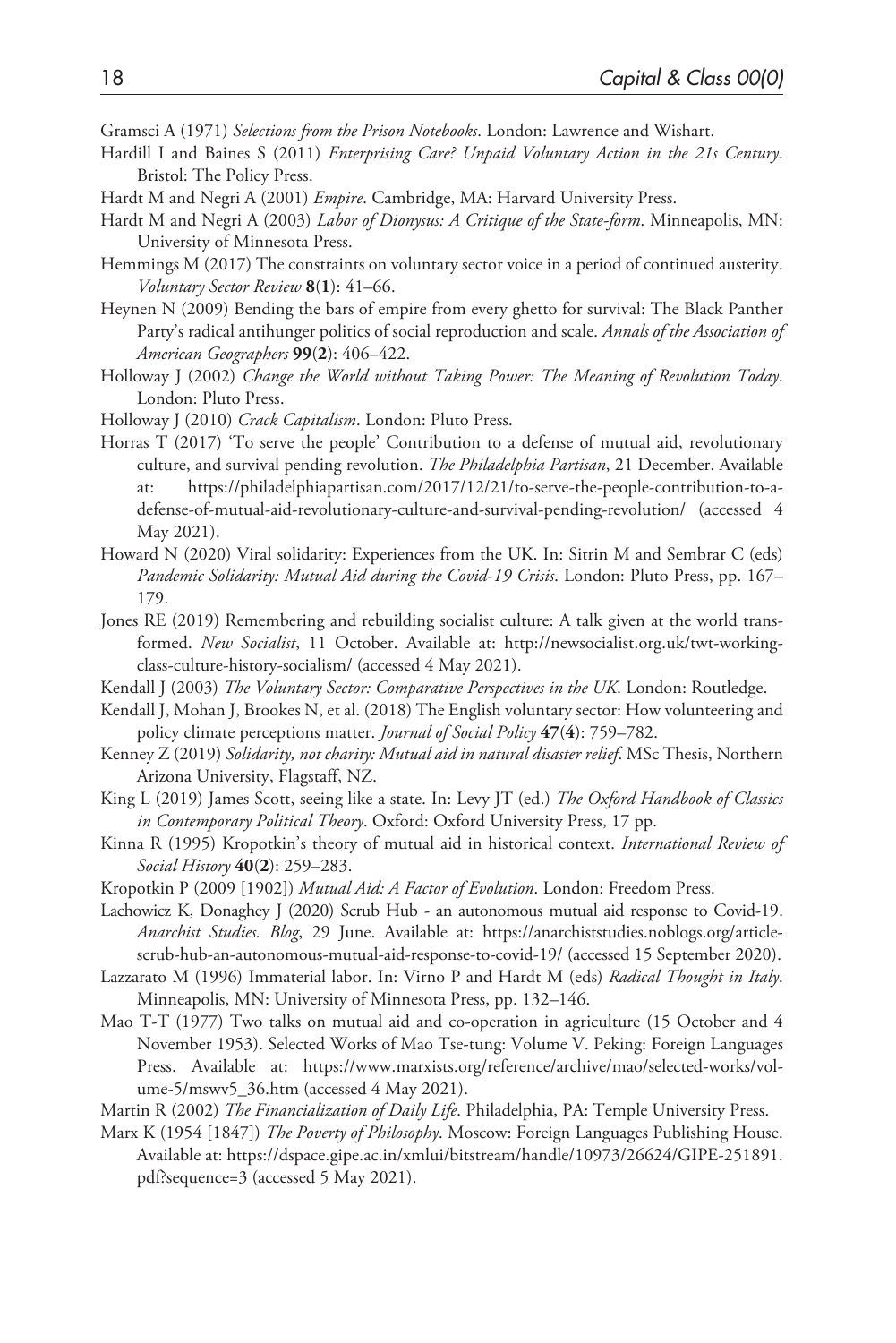Gramsci A (1971) *Selections from the Prison Notebooks*. London: Lawrence and Wishart.

- Hardill I and Baines S (2011) *Enterprising Care? Unpaid Voluntary Action in the 21s Century*. Bristol: The Policy Press.
- Hardt M and Negri A (2001) *Empire*. Cambridge, MA: Harvard University Press.
- Hardt M and Negri A (2003) *Labor of Dionysus: A Critique of the State-form*. Minneapolis, MN: University of Minnesota Press.
- Hemmings M (2017) The constraints on voluntary sector voice in a period of continued austerity. *Voluntary Sector Review* **8**(**1**): 41–66.
- Heynen N (2009) Bending the bars of empire from every ghetto for survival: The Black Panther Party's radical antihunger politics of social reproduction and scale. *Annals of the Association of American Geographers* **99**(**2**): 406–422.
- Holloway J (2002) *Change the World without Taking Power: The Meaning of Revolution Today*. London: Pluto Press.
- Holloway J (2010) *Crack Capitalism*. London: Pluto Press.
- Horras T (2017) 'To serve the people' Contribution to a defense of mutual aid, revolutionary culture, and survival pending revolution. *The Philadelphia Partisan*, 21 December. Available at: [https://philadelphiapartisan.com/2017/12/21/to-serve-the-people-contribution-to-a](https://philadelphiapartisan.com/2017/12/21/to-serve-the-people-contribution-to-a-defense-of-mutual-aid-revolutionary-culture-and-survival-pending-revolution/)[defense-of-mutual-aid-revolutionary-culture-and-survival-pending-revolution/](https://philadelphiapartisan.com/2017/12/21/to-serve-the-people-contribution-to-a-defense-of-mutual-aid-revolutionary-culture-and-survival-pending-revolution/) (accessed 4 May 2021).
- Howard N (2020) Viral solidarity: Experiences from the UK. In: Sitrin M and Sembrar C (eds) *Pandemic Solidarity: Mutual Aid during the Covid-19 Crisis*. London: Pluto Press, pp. 167– 179.
- Jones RE (2019) Remembering and rebuilding socialist culture: A talk given at the world transformed. *New Socialist*, 11 October. Available at: [http://newsocialist.org.uk/twt-working](http://newsocialist.org.uk/twt-working-class-culture-history-socialism/)[class-culture-history-socialism/](http://newsocialist.org.uk/twt-working-class-culture-history-socialism/) (accessed 4 May 2021).
- Kendall J (2003) *The Voluntary Sector: Comparative Perspectives in the UK*. London: Routledge.
- Kendall J, Mohan J, Brookes N, et al. (2018) The English voluntary sector: How volunteering and policy climate perceptions matter. *Journal of Social Policy* **47**(**4**): 759–782.
- Kenney Z (2019) *Solidarity, not charity: Mutual aid in natural disaster relief*. MSc Thesis, Northern Arizona University, Flagstaff, NZ.
- King L (2019) James Scott, seeing like a state. In: Levy JT (ed.) *The Oxford Handbook of Classics in Contemporary Political Theory*. Oxford: Oxford University Press, 17 pp.
- Kinna R (1995) Kropotkin's theory of mutual aid in historical context. *International Review of Social History* **40**(**2**): 259–283.
- Kropotkin P (2009 [1902]) *Mutual Aid: A Factor of Evolution*. London: Freedom Press.
- Lachowicz K, Donaghey J (2020) Scrub Hub an autonomous mutual aid response to Covid-19. *Anarchist Studies. Blog*, 29 June. Available at: [https://anarchiststudies.noblogs.org/article](https://anarchiststudies.noblogs.org/article-scrub-hub-an-autonomous-mutual-aid-response-to-covid-19/)[scrub-hub-an-autonomous-mutual-aid-response-to-covid-19/](https://anarchiststudies.noblogs.org/article-scrub-hub-an-autonomous-mutual-aid-response-to-covid-19/) (accessed 15 September 2020).
- Lazzarato M (1996) Immaterial labor. In: Virno P and Hardt M (eds) *Radical Thought in Italy*. Minneapolis, MN: University of Minnesota Press, pp. 132–146.
- Mao T-T (1977) Two talks on mutual aid and co-operation in agriculture (15 October and 4 November 1953). Selected Works of Mao Tse-tung: Volume V. Peking: Foreign Languages Press. Available at: [https://www.marxists.org/reference/archive/mao/selected-works/vol](https://www.marxists.org/reference/archive/mao/selected-works/volume-5/mswv5_36.htm)[ume-5/mswv5\\_36.htm](https://www.marxists.org/reference/archive/mao/selected-works/volume-5/mswv5_36.htm) (accessed 4 May 2021).
- Martin R (2002) *The Financialization of Daily Life*. Philadelphia, PA: Temple University Press.
- Marx K (1954 [1847]) *The Poverty of Philosophy*. Moscow: Foreign Languages Publishing House. Available at: [https://dspace.gipe.ac.in/xmlui/bitstream/handle/10973/26624/GIPE-251891.](https://dspace.gipe.ac.in/xmlui/bitstream/handle/10973/26624/GIPE-251891.pdf?sequence=3) [pdf?sequence=3](https://dspace.gipe.ac.in/xmlui/bitstream/handle/10973/26624/GIPE-251891.pdf?sequence=3) (accessed 5 May 2021).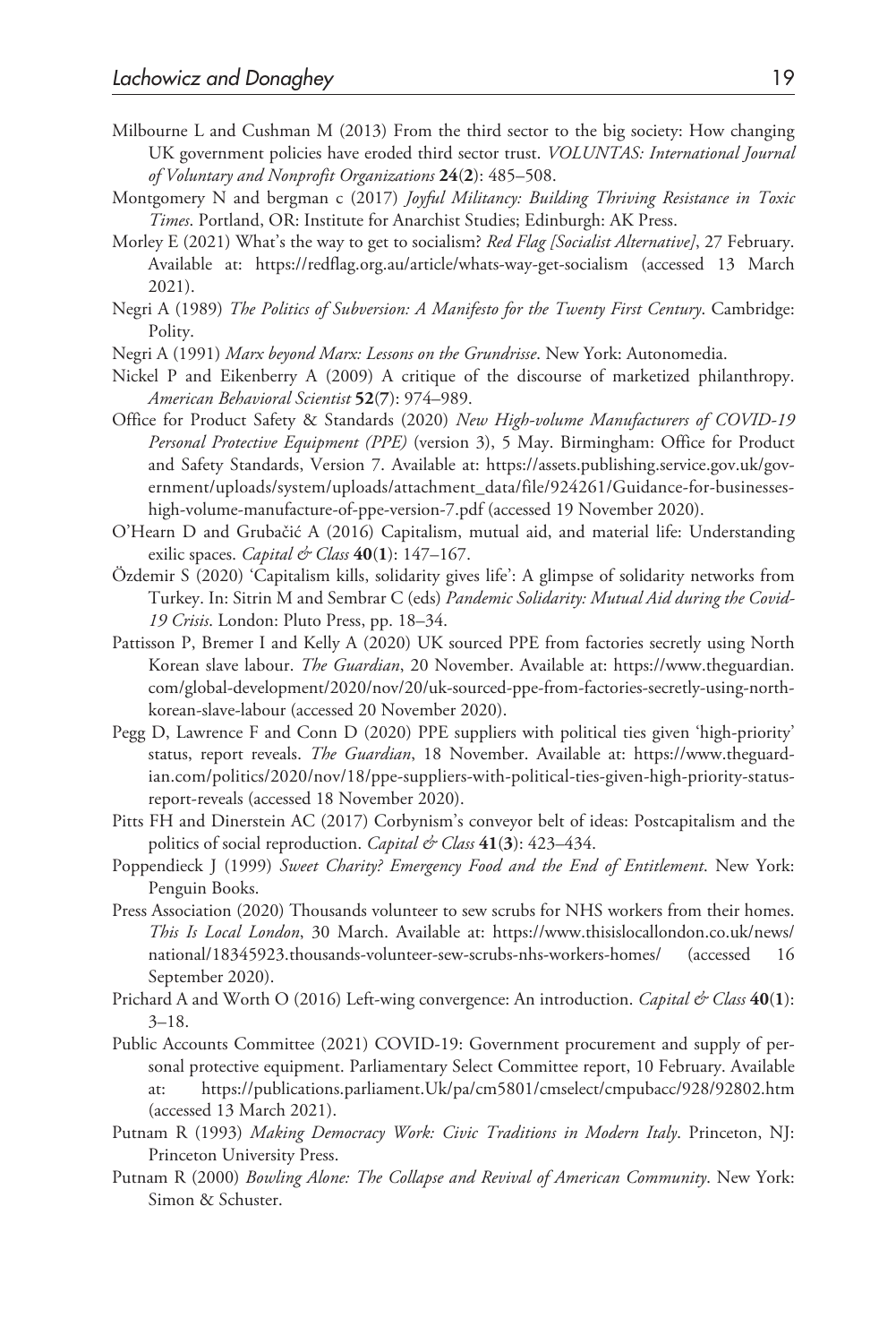- Milbourne L and Cushman M (2013) From the third sector to the big society: How changing UK government policies have eroded third sector trust. *VOLUNTAS: International Journal of Voluntary and Nonprofit Organizations* **24**(**2**): 485–508.
- Montgomery N and bergman c (2017) *Joyful Militancy: Building Thriving Resistance in Toxic Times*. Portland, OR: Institute for Anarchist Studies; Edinburgh: AK Press.
- Morley E (2021) What's the way to get to socialism? *Red Flag [Socialist Alternative]*, 27 February. Available at: <https://redflag.org.au/article/whats-way-get-socialism> (accessed 13 March 2021).
- Negri A (1989) *The Politics of Subversion: A Manifesto for the Twenty First Century*. Cambridge: Polity.
- Negri A (1991) *Marx beyond Marx: Lessons on the Grundrisse*. New York: Autonomedia.
- Nickel P and Eikenberry A (2009) A critique of the discourse of marketized philanthropy. *American Behavioral Scientist* **52**(**7**): 974–989.
- Office for Product Safety & Standards (2020) *New High-volume Manufacturers of COVID-19 Personal Protective Equipment (PPE)* (version 3), 5 May. Birmingham: Office for Product and Safety Standards, Version 7. Available at: [https://assets.publishing.service.gov.uk/gov](https://assets.publishing.service.gov.uk/government/uploads/system/uploads/attachment_data/file/924261/Guidance-for-businesses-high-volume-manufacture-of-ppe-version-7.pdf)[ernment/uploads/system/uploads/attachment\\_data/file/924261/Guidance-for-businesses](https://assets.publishing.service.gov.uk/government/uploads/system/uploads/attachment_data/file/924261/Guidance-for-businesses-high-volume-manufacture-of-ppe-version-7.pdf)[high-volume-manufacture-of-ppe-version-7.pdf](https://assets.publishing.service.gov.uk/government/uploads/system/uploads/attachment_data/file/924261/Guidance-for-businesses-high-volume-manufacture-of-ppe-version-7.pdf) (accessed 19 November 2020).
- O'Hearn D and Grubačić A (2016) Capitalism, mutual aid, and material life: Understanding exilic spaces. *Capital & Class* **40**(**1**): 147–167.
- Özdemir S (2020) 'Capitalism kills, solidarity gives life': A glimpse of solidarity networks from Turkey. In: Sitrin M and Sembrar C (eds) *Pandemic Solidarity: Mutual Aid during the Covid-19 Crisis*. London: Pluto Press, pp. 18–34.
- Pattisson P, Bremer I and Kelly A (2020) UK sourced PPE from factories secretly using North Korean slave labour. *The Guardian*, 20 November. Available at: [https://www.theguardian.](https://www.theguardian.com/global-development/2020/nov/20/uk-sourced-ppe-from-factories-secretly-using-north-korean-slave-labour) [com/global-development/2020/nov/20/uk-sourced-ppe-from-factories-secretly-using-north](https://www.theguardian.com/global-development/2020/nov/20/uk-sourced-ppe-from-factories-secretly-using-north-korean-slave-labour)[korean-slave-labour](https://www.theguardian.com/global-development/2020/nov/20/uk-sourced-ppe-from-factories-secretly-using-north-korean-slave-labour) (accessed 20 November 2020).
- Pegg D, Lawrence F and Conn D (2020) PPE suppliers with political ties given 'high-priority' status, report reveals. *The Guardian*, 18 November. Available at: [https://www.theguard](https://www.theguardian.com/politics/2020/nov/18/ppe-suppliers-with-political-ties-given-high-priority-status-report-reveals)[ian.com/politics/2020/nov/18/ppe-suppliers-with-political-ties-given-high-priority-status](https://www.theguardian.com/politics/2020/nov/18/ppe-suppliers-with-political-ties-given-high-priority-status-report-reveals)[report-reveals](https://www.theguardian.com/politics/2020/nov/18/ppe-suppliers-with-political-ties-given-high-priority-status-report-reveals) (accessed 18 November 2020).
- Pitts FH and Dinerstein AC (2017) Corbynism's conveyor belt of ideas: Postcapitalism and the politics of social reproduction. *Capital & Class* **41**(**3**): 423–434.
- Poppendieck J (1999) *Sweet Charity? Emergency Food and the End of Entitlement*. New York: Penguin Books.
- Press Association (2020) Thousands volunteer to sew scrubs for NHS workers from their homes. *This Is Local London*, 30 March. Available at: [https://www.thisislocallondon.co.uk/news/](https://www.thisislocallondon.co.uk/news/national/18345923.thousands-volunteer-sew-scrubs-nhs-workers-homes/) [national/18345923.thousands-volunteer-sew-scrubs-nhs-workers-homes/](https://www.thisislocallondon.co.uk/news/national/18345923.thousands-volunteer-sew-scrubs-nhs-workers-homes/) (accessed 16 September 2020).
- Prichard A and Worth O (2016) Left-wing convergence: An introduction. *Capital & Class* **40**(**1**): 3–18.
- Public Accounts Committee (2021) COVID-19: Government procurement and supply of personal protective equipment. Parliamentary Select Committee report, 10 February. Available at: <https://publications.parliament.Uk/pa/cm5801/cmselect/cmpubacc/928/92802.htm> (accessed 13 March 2021).
- Putnam R (1993) *Making Democracy Work: Civic Traditions in Modern Italy*. Princeton, NJ: Princeton University Press.
- Putnam R (2000) *Bowling Alone: The Collapse and Revival of American Community*. New York: Simon & Schuster.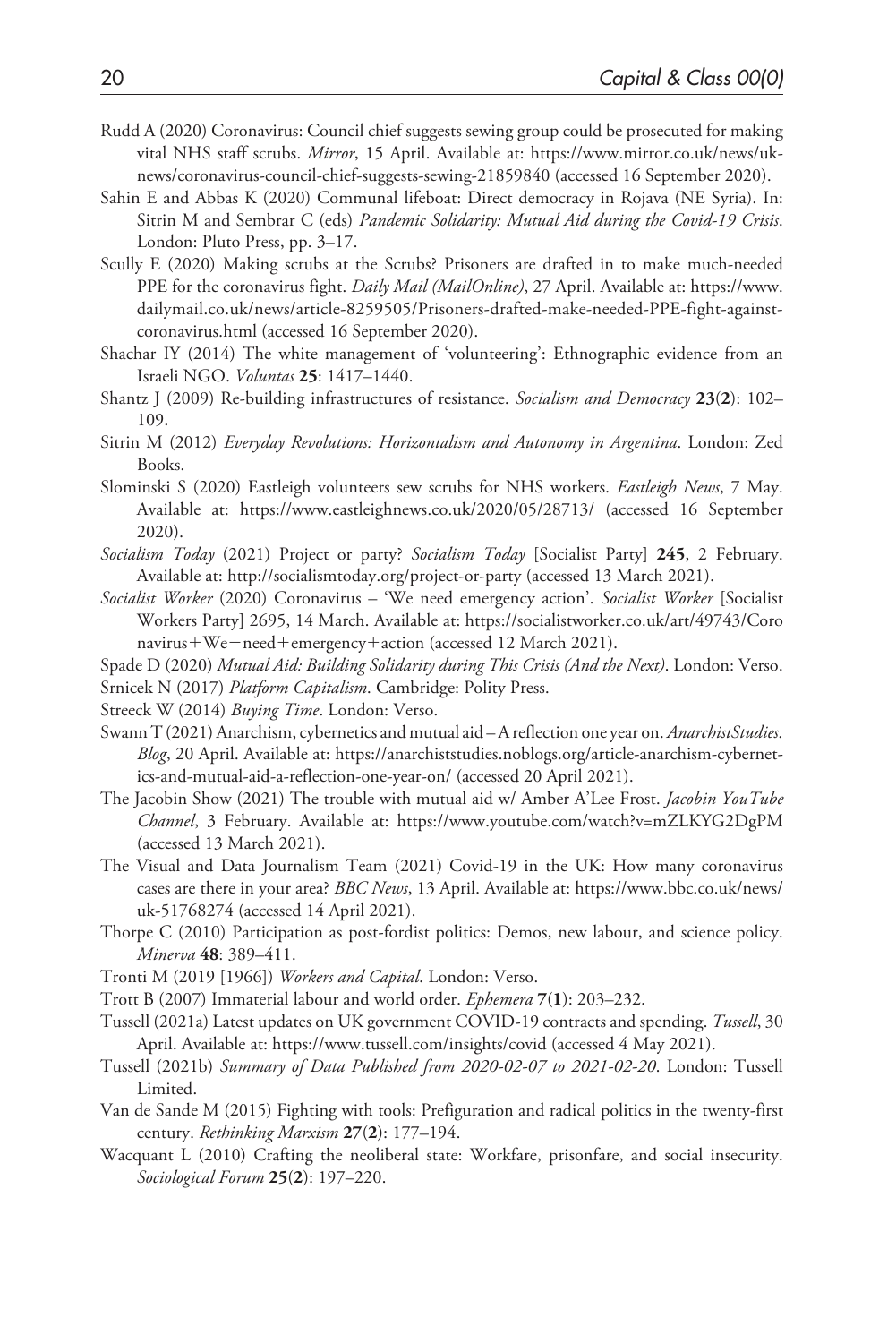- Rudd A (2020) Coronavirus: Council chief suggests sewing group could be prosecuted for making vital NHS staff scrubs. *Mirror*, 15 April. Available at: [https://www.mirror.co.uk/news/uk](https://www.mirror.co.uk/news/uk-news/coronavirus-council-chief-suggests-sewing-21859840)[news/coronavirus-council-chief-suggests-sewing-21859840](https://www.mirror.co.uk/news/uk-news/coronavirus-council-chief-suggests-sewing-21859840) (accessed 16 September 2020).
- Sahin E and Abbas K (2020) Communal lifeboat: Direct democracy in Rojava (NE Syria). In: Sitrin M and Sembrar C (eds) *Pandemic Solidarity: Mutual Aid during the Covid-19 Crisis*. London: Pluto Press, pp. 3–17.
- Scully E (2020) Making scrubs at the Scrubs? Prisoners are drafted in to make much-needed PPE for the coronavirus fight. *Daily Mail (MailOnline)*, 27 April. Available at: [https://www.](https://www.dailymail.co.uk/news/article-8259505/Prisoners-drafted-make-needed-PPE-fight-against-coronavirus.html) [dailymail.co.uk/news/article-8259505/Prisoners-drafted-make-needed-PPE-fight-against](https://www.dailymail.co.uk/news/article-8259505/Prisoners-drafted-make-needed-PPE-fight-against-coronavirus.html)[coronavirus.html](https://www.dailymail.co.uk/news/article-8259505/Prisoners-drafted-make-needed-PPE-fight-against-coronavirus.html) (accessed 16 September 2020).
- Shachar IY (2014) The white management of 'volunteering': Ethnographic evidence from an Israeli NGO. *Voluntas* **25**: 1417–1440.
- Shantz J (2009) Re-building infrastructures of resistance. *Socialism and Democracy* **23**(**2**): 102– 109.
- Sitrin M (2012) *Everyday Revolutions: Horizontalism and Autonomy in Argentina*. London: Zed Books.
- Slominski S (2020) Eastleigh volunteers sew scrubs for NHS workers. *Eastleigh News*, 7 May. Available at: <https://www.eastleighnews.co.uk/2020/05/28713/>(accessed 16 September 2020).
- *Socialism Today* (2021) Project or party? *Socialism Today* [Socialist Party] **245**, 2 February. Available at:<http://socialismtoday.org/project-or-party>(accessed 13 March 2021).
- *Socialist Worker* (2020) Coronavirus 'We need emergency action'. *Socialist Worker* [Socialist Workers Party] 2695, 14 March. Available at: [https://socialistworker.co.uk/art/49743/Coro](https://socialistworker.co.uk/art/49743/Coronavirus) [navirus](https://socialistworker.co.uk/art/49743/Coronavirus)+We+need+emergency+action (accessed 12 March 2021).
- Spade D (2020) *Mutual Aid: Building Solidarity during This Crisis (And the Next)*. London: Verso.
- Srnicek N (2017) *Platform Capitalism*. Cambridge: Polity Press.
- Streeck W (2014) *Buying Time*. London: Verso.
- Swann T (2021) Anarchism, cybernetics and mutual aid A reflection one year on. *AnarchistStudies. Blog*, 20 April. Available at: [https://anarchiststudies.noblogs.org/article-anarchism-cybernet](https://anarchiststudies.noblogs.org/article-anarchism-cybernetics-and-mutual-aid-a-reflection-one-year-on/)[ics-and-mutual-aid-a-reflection-one-year-on/](https://anarchiststudies.noblogs.org/article-anarchism-cybernetics-and-mutual-aid-a-reflection-one-year-on/) (accessed 20 April 2021).
- The Jacobin Show (2021) The trouble with mutual aid w/ Amber A'Lee Frost. *Jacobin YouTube Channel*, 3 February. Available at: <https://www.youtube.com/watch?v=mZLKYG2DgPM> (accessed 13 March 2021).
- The Visual and Data Journalism Team (2021) Covid-19 in the UK: How many coronavirus cases are there in your area? *BBC News*, 13 April. Available at: [https://www.bbc.co.uk/news/](https://www.bbc.co.uk/news/uk-51768274) [uk-51768274](https://www.bbc.co.uk/news/uk-51768274) (accessed 14 April 2021).
- Thorpe C (2010) Participation as post-fordist politics: Demos, new labour, and science policy. *Minerva* **48**: 389–411.
- Tronti M (2019 [1966]) *Workers and Capital*. London: Verso.
- Trott B (2007) Immaterial labour and world order. *Ephemera* **7**(**1**): 203–232.
- Tussell (2021a) Latest updates on UK government COVID-19 contracts and spending. *Tussell*, 30 April. Available at: <https://www.tussell.com/insights/covid> (accessed 4 May 2021).
- Tussell (2021b) *Summary of Data Published from 2020-02-07 to 2021-02-20*. London: Tussell Limited.
- Van de Sande M (2015) Fighting with tools: Prefiguration and radical politics in the twenty-first century. *Rethinking Marxism* **27**(**2**): 177–194.
- Wacquant L (2010) Crafting the neoliberal state: Workfare, prisonfare, and social insecurity. *Sociological Forum* **25**(**2**): 197–220.